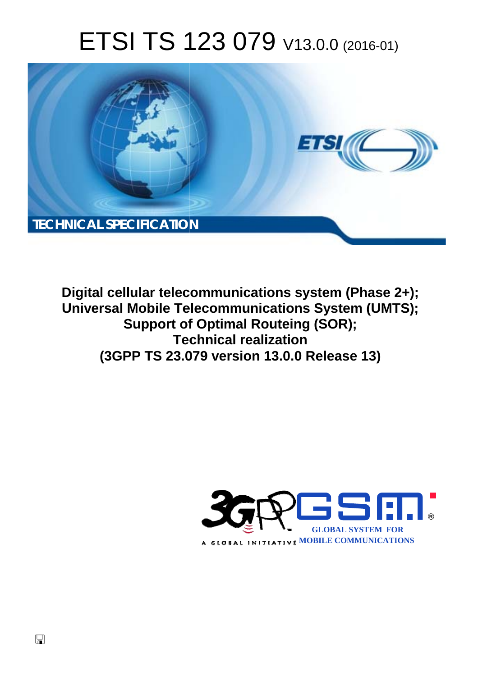# ETSI TS 123 079 V13.0.0 (2016-01)



**Digital cellular telecommunications system (Phase 2+); Universal Mobile Tel elecommunications System ( (UMTS); Support of of Optimal Routeing (SOR); Tec echnical realization (3GPP TS 23.0 .079 version 13.0.0 Release 13 13)** 

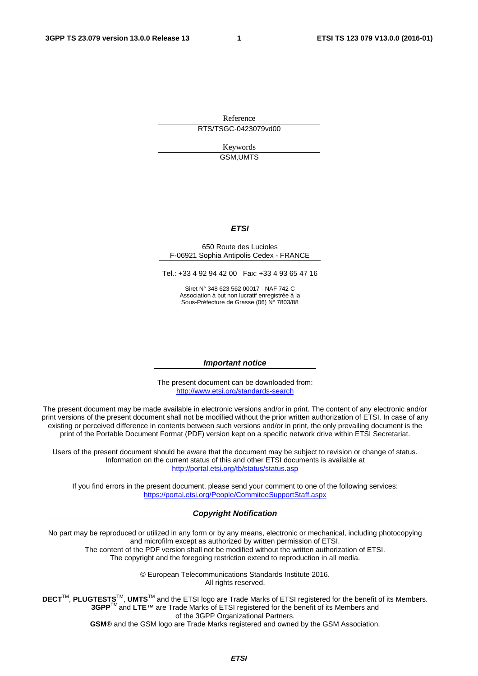Reference RTS/TSGC-0423079vd00

> Keywords GSM,UMTS

#### *ETSI*

#### 650 Route des Lucioles F-06921 Sophia Antipolis Cedex - FRANCE

Tel.: +33 4 92 94 42 00 Fax: +33 4 93 65 47 16

Siret N° 348 623 562 00017 - NAF 742 C Association à but non lucratif enregistrée à la Sous-Préfecture de Grasse (06) N° 7803/88

#### *Important notice*

The present document can be downloaded from: <http://www.etsi.org/standards-search>

The present document may be made available in electronic versions and/or in print. The content of any electronic and/or print versions of the present document shall not be modified without the prior written authorization of ETSI. In case of any existing or perceived difference in contents between such versions and/or in print, the only prevailing document is the print of the Portable Document Format (PDF) version kept on a specific network drive within ETSI Secretariat.

Users of the present document should be aware that the document may be subject to revision or change of status. Information on the current status of this and other ETSI documents is available at <http://portal.etsi.org/tb/status/status.asp>

If you find errors in the present document, please send your comment to one of the following services: <https://portal.etsi.org/People/CommiteeSupportStaff.aspx>

#### *Copyright Notification*

No part may be reproduced or utilized in any form or by any means, electronic or mechanical, including photocopying and microfilm except as authorized by written permission of ETSI.

The content of the PDF version shall not be modified without the written authorization of ETSI. The copyright and the foregoing restriction extend to reproduction in all media.

> © European Telecommunications Standards Institute 2016. All rights reserved.

**DECT**TM, **PLUGTESTS**TM, **UMTS**TM and the ETSI logo are Trade Marks of ETSI registered for the benefit of its Members. **3GPP**TM and **LTE**™ are Trade Marks of ETSI registered for the benefit of its Members and of the 3GPP Organizational Partners.

**GSM**® and the GSM logo are Trade Marks registered and owned by the GSM Association.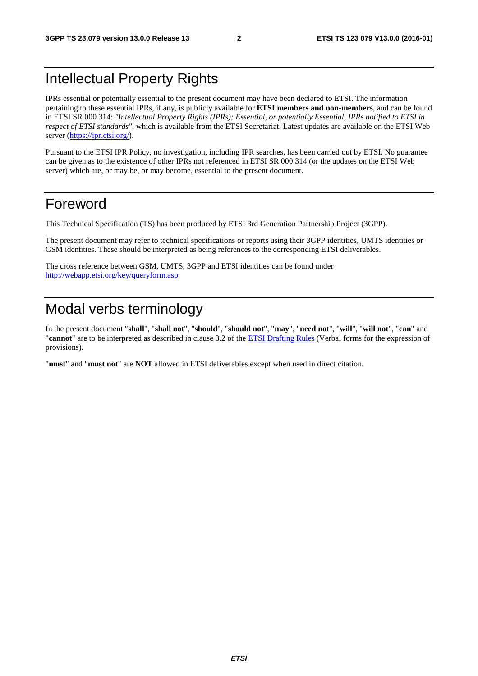## Intellectual Property Rights

IPRs essential or potentially essential to the present document may have been declared to ETSI. The information pertaining to these essential IPRs, if any, is publicly available for **ETSI members and non-members**, and can be found in ETSI SR 000 314: *"Intellectual Property Rights (IPRs); Essential, or potentially Essential, IPRs notified to ETSI in respect of ETSI standards"*, which is available from the ETSI Secretariat. Latest updates are available on the ETSI Web server [\(https://ipr.etsi.org/](https://ipr.etsi.org/)).

Pursuant to the ETSI IPR Policy, no investigation, including IPR searches, has been carried out by ETSI. No guarantee can be given as to the existence of other IPRs not referenced in ETSI SR 000 314 (or the updates on the ETSI Web server) which are, or may be, or may become, essential to the present document.

## Foreword

This Technical Specification (TS) has been produced by ETSI 3rd Generation Partnership Project (3GPP).

The present document may refer to technical specifications or reports using their 3GPP identities, UMTS identities or GSM identities. These should be interpreted as being references to the corresponding ETSI deliverables.

The cross reference between GSM, UMTS, 3GPP and ETSI identities can be found under [http://webapp.etsi.org/key/queryform.asp.](http://webapp.etsi.org/key/queryform.asp)

## Modal verbs terminology

In the present document "**shall**", "**shall not**", "**should**", "**should not**", "**may**", "**need not**", "**will**", "**will not**", "**can**" and "**cannot**" are to be interpreted as described in clause 3.2 of the [ETSI Drafting Rules](http://portal.etsi.org/Help/editHelp!/Howtostart/ETSIDraftingRules.aspx) (Verbal forms for the expression of provisions).

"**must**" and "**must not**" are **NOT** allowed in ETSI deliverables except when used in direct citation.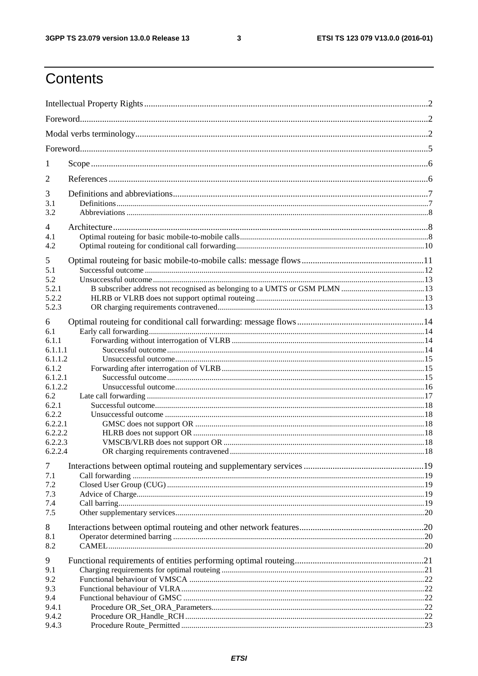$\mathbf{3}$ 

## Contents

| 1                |  |  |  |  |  |  |
|------------------|--|--|--|--|--|--|
| 2                |  |  |  |  |  |  |
| 3                |  |  |  |  |  |  |
| 3.1              |  |  |  |  |  |  |
| 3.2              |  |  |  |  |  |  |
| 4                |  |  |  |  |  |  |
| 4.1              |  |  |  |  |  |  |
| 4.2              |  |  |  |  |  |  |
| 5                |  |  |  |  |  |  |
| 5.1<br>5.2       |  |  |  |  |  |  |
| 5.2.1            |  |  |  |  |  |  |
| 5.2.2            |  |  |  |  |  |  |
| 5.2.3            |  |  |  |  |  |  |
| 6                |  |  |  |  |  |  |
| 6.1              |  |  |  |  |  |  |
| 6.1.1            |  |  |  |  |  |  |
| 6.1.1.1          |  |  |  |  |  |  |
| 6.1.1.2          |  |  |  |  |  |  |
| 6.1.2<br>6.1.2.1 |  |  |  |  |  |  |
| 6.1.2.2          |  |  |  |  |  |  |
| 6.2              |  |  |  |  |  |  |
| 6.2.1            |  |  |  |  |  |  |
| 6.2.2            |  |  |  |  |  |  |
| 6.2.2.1          |  |  |  |  |  |  |
| 6.2.2.2          |  |  |  |  |  |  |
| 6.2.2.3          |  |  |  |  |  |  |
| 6.2.2.4          |  |  |  |  |  |  |
| $\tau$           |  |  |  |  |  |  |
| 7.1              |  |  |  |  |  |  |
| 7.2              |  |  |  |  |  |  |
| 7.3              |  |  |  |  |  |  |
| 7.4              |  |  |  |  |  |  |
| 7.5              |  |  |  |  |  |  |
| 8                |  |  |  |  |  |  |
| 8.1              |  |  |  |  |  |  |
| 8.2              |  |  |  |  |  |  |
| 9                |  |  |  |  |  |  |
| 9.1              |  |  |  |  |  |  |
| 9.2              |  |  |  |  |  |  |
| 9.3              |  |  |  |  |  |  |
| 9.4              |  |  |  |  |  |  |
| 9.4.1            |  |  |  |  |  |  |
| 9.4.2            |  |  |  |  |  |  |
| 9.4.3            |  |  |  |  |  |  |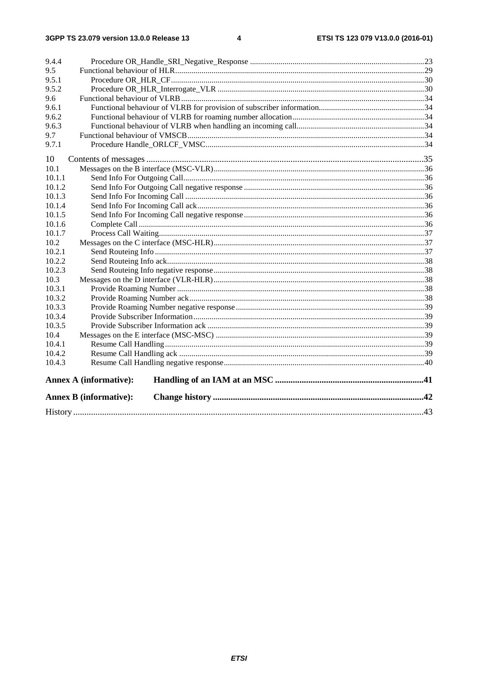| 9.4.4  |                               |  |  |  |  |  |
|--------|-------------------------------|--|--|--|--|--|
| 9.5    |                               |  |  |  |  |  |
| 9.5.1  |                               |  |  |  |  |  |
| 9.5.2  |                               |  |  |  |  |  |
| 9.6    |                               |  |  |  |  |  |
| 9.6.1  |                               |  |  |  |  |  |
| 9.6.2  |                               |  |  |  |  |  |
| 9.6.3  |                               |  |  |  |  |  |
| 9.7    |                               |  |  |  |  |  |
| 9.7.1  |                               |  |  |  |  |  |
| 10     |                               |  |  |  |  |  |
| 10.1   |                               |  |  |  |  |  |
| 10.1.1 |                               |  |  |  |  |  |
| 10.1.2 |                               |  |  |  |  |  |
| 10.1.3 |                               |  |  |  |  |  |
| 10.1.4 |                               |  |  |  |  |  |
| 10.1.5 |                               |  |  |  |  |  |
| 10.1.6 |                               |  |  |  |  |  |
| 10.1.7 |                               |  |  |  |  |  |
| 10.2   |                               |  |  |  |  |  |
| 10.2.1 |                               |  |  |  |  |  |
| 10.2.2 |                               |  |  |  |  |  |
| 10.2.3 |                               |  |  |  |  |  |
| 10.3   |                               |  |  |  |  |  |
| 10.3.1 |                               |  |  |  |  |  |
| 10.3.2 |                               |  |  |  |  |  |
| 10.3.3 |                               |  |  |  |  |  |
| 10.3.4 |                               |  |  |  |  |  |
| 10.3.5 |                               |  |  |  |  |  |
| 10.4   |                               |  |  |  |  |  |
| 10.4.1 |                               |  |  |  |  |  |
| 10.4.2 |                               |  |  |  |  |  |
| 10.4.3 |                               |  |  |  |  |  |
|        | <b>Annex A (informative):</b> |  |  |  |  |  |
|        | <b>Annex B (informative):</b> |  |  |  |  |  |
|        |                               |  |  |  |  |  |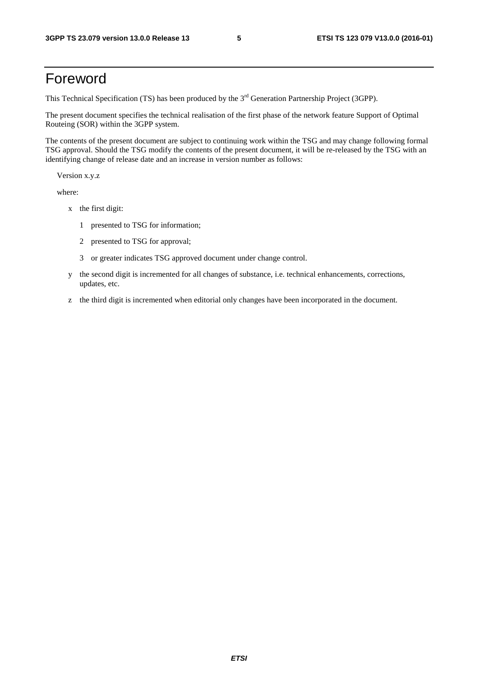## Foreword

This Technical Specification (TS) has been produced by the 3<sup>rd</sup> Generation Partnership Project (3GPP).

The present document specifies the technical realisation of the first phase of the network feature Support of Optimal Routeing (SOR) within the 3GPP system.

The contents of the present document are subject to continuing work within the TSG and may change following formal TSG approval. Should the TSG modify the contents of the present document, it will be re-released by the TSG with an identifying change of release date and an increase in version number as follows:

Version x.y.z

where:

- x the first digit:
	- 1 presented to TSG for information;
	- 2 presented to TSG for approval;
	- 3 or greater indicates TSG approved document under change control.
- y the second digit is incremented for all changes of substance, i.e. technical enhancements, corrections, updates, etc.
- z the third digit is incremented when editorial only changes have been incorporated in the document.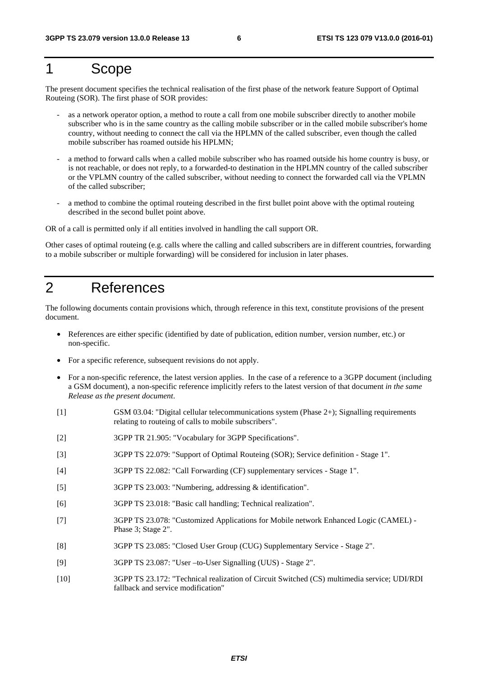## 1 Scope

The present document specifies the technical realisation of the first phase of the network feature Support of Optimal Routeing (SOR). The first phase of SOR provides:

- as a network operator option, a method to route a call from one mobile subscriber directly to another mobile subscriber who is in the same country as the calling mobile subscriber or in the called mobile subscriber's home country, without needing to connect the call via the HPLMN of the called subscriber, even though the called mobile subscriber has roamed outside his HPLMN;
- a method to forward calls when a called mobile subscriber who has roamed outside his home country is busy, or is not reachable, or does not reply, to a forwarded-to destination in the HPLMN country of the called subscriber or the VPLMN country of the called subscriber, without needing to connect the forwarded call via the VPLMN of the called subscriber;
- a method to combine the optimal routeing described in the first bullet point above with the optimal routeing described in the second bullet point above.

OR of a call is permitted only if all entities involved in handling the call support OR.

Other cases of optimal routeing (e.g. calls where the calling and called subscribers are in different countries, forwarding to a mobile subscriber or multiple forwarding) will be considered for inclusion in later phases.

## 2 References

The following documents contain provisions which, through reference in this text, constitute provisions of the present document.

- References are either specific (identified by date of publication, edition number, version number, etc.) or non-specific.
- For a specific reference, subsequent revisions do not apply.
- For a non-specific reference, the latest version applies. In the case of a reference to a 3GPP document (including a GSM document), a non-specific reference implicitly refers to the latest version of that document *in the same Release as the present document*.
- [1] GSM 03.04: "Digital cellular telecommunications system (Phase 2+); Signalling requirements relating to routeing of calls to mobile subscribers".
- [2] 3GPP TR 21.905: "Vocabulary for 3GPP Specifications".
- [3] 3GPP TS 22.079: "Support of Optimal Routeing (SOR); Service definition Stage 1".
- [4] 3GPP TS 22.082: "Call Forwarding (CF) supplementary services Stage 1".
- [5] 3GPP TS 23.003: "Numbering, addressing & identification".
- [6] 3GPP TS 23.018: "Basic call handling; Technical realization".
- [7] 3GPP TS 23.078: "Customized Applications for Mobile network Enhanced Logic (CAMEL) Phase 3; Stage 2".
- [8] 3GPP TS 23.085: "Closed User Group (CUG) Supplementary Service Stage 2".
- [9] 3GPP TS 23.087: "User –to-User Signalling (UUS) Stage 2".
- [10] 3GPP TS 23.172: "Technical realization of Circuit Switched (CS) multimedia service; UDI/RDI fallback and service modification"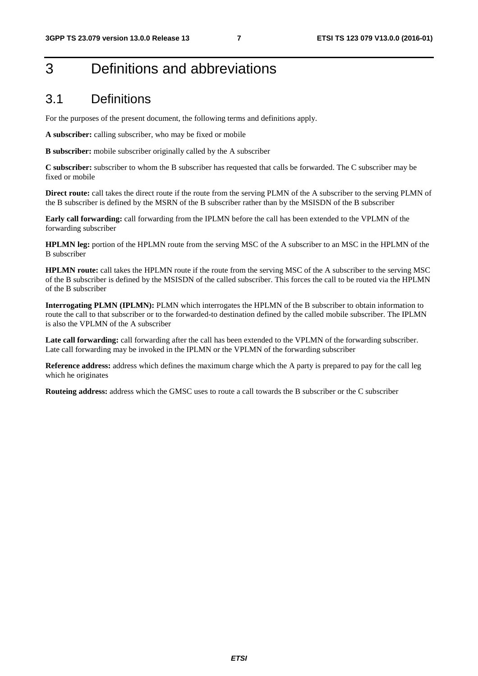## 3 Definitions and abbreviations

## 3.1 Definitions

For the purposes of the present document, the following terms and definitions apply.

**A subscriber:** calling subscriber, who may be fixed or mobile

**B subscriber:** mobile subscriber originally called by the A subscriber

**C subscriber:** subscriber to whom the B subscriber has requested that calls be forwarded. The C subscriber may be fixed or mobile

**Direct route:** call takes the direct route if the route from the serving PLMN of the A subscriber to the serving PLMN of the B subscriber is defined by the MSRN of the B subscriber rather than by the MSISDN of the B subscriber

**Early call forwarding:** call forwarding from the IPLMN before the call has been extended to the VPLMN of the forwarding subscriber

**HPLMN leg:** portion of the HPLMN route from the serving MSC of the A subscriber to an MSC in the HPLMN of the B subscriber

**HPLMN route:** call takes the HPLMN route if the route from the serving MSC of the A subscriber to the serving MSC of the B subscriber is defined by the MSISDN of the called subscriber. This forces the call to be routed via the HPLMN of the B subscriber

**Interrogating PLMN (IPLMN):** PLMN which interrogates the HPLMN of the B subscriber to obtain information to route the call to that subscriber or to the forwarded-to destination defined by the called mobile subscriber. The IPLMN is also the VPLMN of the A subscriber

Late call forwarding: call forwarding after the call has been extended to the VPLMN of the forwarding subscriber. Late call forwarding may be invoked in the IPLMN or the VPLMN of the forwarding subscriber

**Reference address:** address which defines the maximum charge which the A party is prepared to pay for the call leg which he originates

**Routeing address:** address which the GMSC uses to route a call towards the B subscriber or the C subscriber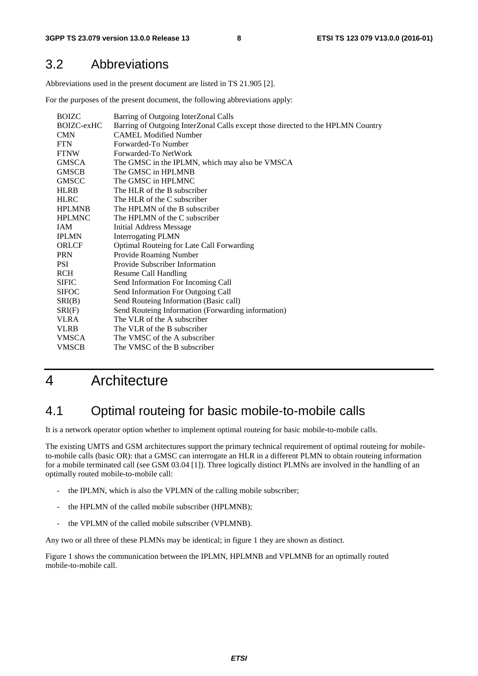## 3.2 Abbreviations

Abbreviations used in the present document are listed in TS 21.905 [2].

For the purposes of the present document, the following abbreviations apply:

| <b>BOIZC</b>  | Barring of Outgoing InterZonal Calls                                            |
|---------------|---------------------------------------------------------------------------------|
| BOIZC-exHC    | Barring of Outgoing InterZonal Calls except those directed to the HPLMN Country |
| <b>CMN</b>    | <b>CAMEL Modified Number</b>                                                    |
| <b>FTN</b>    | Forwarded-To Number                                                             |
| <b>FTNW</b>   | Forwarded-To NetWork                                                            |
| <b>GMSCA</b>  | The GMSC in the IPLMN, which may also be VMSCA                                  |
| <b>GMSCB</b>  | The GMSC in HPLMNB                                                              |
| <b>GMSCC</b>  | The GMSC in HPLMNC                                                              |
| <b>HLRB</b>   | The HLR of the B subscriber                                                     |
| <b>HLRC</b>   | The HLR of the C subscriber                                                     |
| <b>HPLMNB</b> | The HPLMN of the B subscriber                                                   |
| <b>HPLMNC</b> | The HPLMN of the C subscriber                                                   |
| <b>IAM</b>    | <b>Initial Address Message</b>                                                  |
| <b>IPLMN</b>  | <b>Interrogating PLMN</b>                                                       |
| <b>ORLCF</b>  | Optimal Routeing for Late Call Forwarding                                       |
| <b>PRN</b>    | Provide Roaming Number                                                          |
| <b>PSI</b>    | Provide Subscriber Information                                                  |
| <b>RCH</b>    | <b>Resume Call Handling</b>                                                     |
| <b>SIFIC</b>  | Send Information For Incoming Call                                              |
| <b>SIFOC</b>  | Send Information For Outgoing Call                                              |
| SRI(B)        | Send Routeing Information (Basic call)                                          |
| SRI(F)        | Send Routeing Information (Forwarding information)                              |
| <b>VLRA</b>   | The VLR of the A subscriber                                                     |
| <b>VLRB</b>   | The VLR of the B subscriber                                                     |
| <b>VMSCA</b>  | The VMSC of the A subscriber                                                    |
| <b>VMSCB</b>  | The VMSC of the B subscriber                                                    |
|               |                                                                                 |

## 4 Architecture

## 4.1 Optimal routeing for basic mobile-to-mobile calls

It is a network operator option whether to implement optimal routeing for basic mobile-to-mobile calls.

The existing UMTS and GSM architectures support the primary technical requirement of optimal routeing for mobileto-mobile calls (basic OR): that a GMSC can interrogate an HLR in a different PLMN to obtain routeing information for a mobile terminated call (see GSM 03.04 [1]). Three logically distinct PLMNs are involved in the handling of an optimally routed mobile-to-mobile call:

- the IPLMN, which is also the VPLMN of the calling mobile subscriber;
- the HPLMN of the called mobile subscriber (HPLMNB);
- the VPLMN of the called mobile subscriber (VPLMNB).

Any two or all three of these PLMNs may be identical; in figure 1 they are shown as distinct.

Figure 1 shows the communication between the IPLMN, HPLMNB and VPLMNB for an optimally routed mobile-to-mobile call.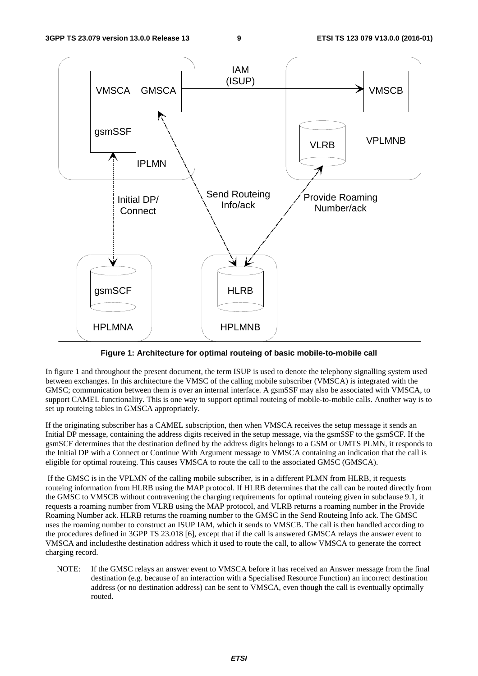

**Figure 1: Architecture for optimal routeing of basic mobile-to-mobile call** 

In figure 1 and throughout the present document, the term ISUP is used to denote the telephony signalling system used between exchanges. In this architecture the VMSC of the calling mobile subscriber (VMSCA) is integrated with the GMSC; communication between them is over an internal interface. A gsmSSF may also be associated with VMSCA, to support CAMEL functionality. This is one way to support optimal routeing of mobile-to-mobile calls. Another way is to set up routeing tables in GMSCA appropriately.

If the originating subscriber has a CAMEL subscription, then when VMSCA receives the setup message it sends an Initial DP message, containing the address digits received in the setup message, via the gsmSSF to the gsmSCF. If the gsmSCF determines that the destination defined by the address digits belongs to a GSM or UMTS PLMN, it responds to the Initial DP with a Connect or Continue With Argument message to VMSCA containing an indication that the call is eligible for optimal routeing. This causes VMSCA to route the call to the associated GMSC (GMSCA).

 If the GMSC is in the VPLMN of the calling mobile subscriber, is in a different PLMN from HLRB, it requests routeing information from HLRB using the MAP protocol. If HLRB determines that the call can be routed directly from the GMSC to VMSCB without contravening the charging requirements for optimal routeing given in subclause 9.1, it requests a roaming number from VLRB using the MAP protocol, and VLRB returns a roaming number in the Provide Roaming Number ack. HLRB returns the roaming number to the GMSC in the Send Routeing Info ack. The GMSC uses the roaming number to construct an ISUP IAM, which it sends to VMSCB. The call is then handled according to the procedures defined in 3GPP TS 23.018 [6], except that if the call is answered GMSCA relays the answer event to VMSCA and includesthe destination address which it used to route the call, to allow VMSCA to generate the correct charging record.

NOTE: If the GMSC relays an answer event to VMSCA before it has received an Answer message from the final destination (e.g. because of an interaction with a Specialised Resource Function) an incorrect destination address (or no destination address) can be sent to VMSCA, even though the call is eventually optimally routed.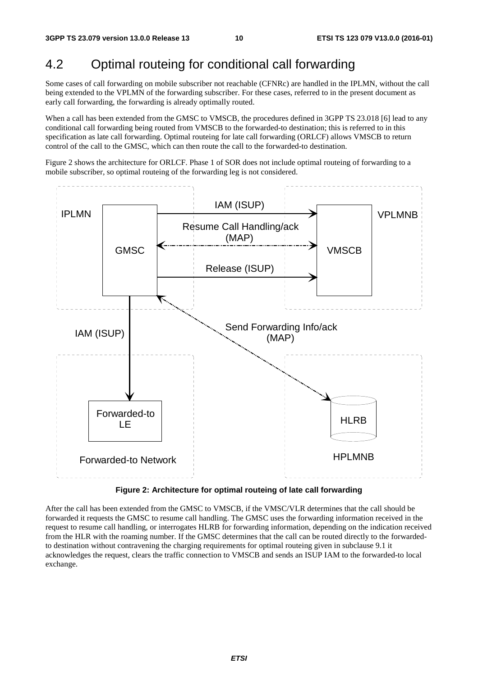## 4.2 Optimal routeing for conditional call forwarding

Some cases of call forwarding on mobile subscriber not reachable (CFNRc) are handled in the IPLMN, without the call being extended to the VPLMN of the forwarding subscriber. For these cases, referred to in the present document as early call forwarding, the forwarding is already optimally routed.

When a call has been extended from the GMSC to VMSCB, the procedures defined in 3GPP TS 23.018 [6] lead to any conditional call forwarding being routed from VMSCB to the forwarded-to destination; this is referred to in this specification as late call forwarding. Optimal routeing for late call forwarding (ORLCF) allows VMSCB to return control of the call to the GMSC, which can then route the call to the forwarded-to destination.

Figure 2 shows the architecture for ORLCF. Phase 1 of SOR does not include optimal routeing of forwarding to a mobile subscriber, so optimal routeing of the forwarding leg is not considered.



**Figure 2: Architecture for optimal routeing of late call forwarding** 

After the call has been extended from the GMSC to VMSCB, if the VMSC/VLR determines that the call should be forwarded it requests the GMSC to resume call handling. The GMSC uses the forwarding information received in the request to resume call handling, or interrogates HLRB for forwarding information, depending on the indication received from the HLR with the roaming number. If the GMSC determines that the call can be routed directly to the forwardedto destination without contravening the charging requirements for optimal routeing given in subclause 9.1 it acknowledges the request, clears the traffic connection to VMSCB and sends an ISUP IAM to the forwarded-to local exchange.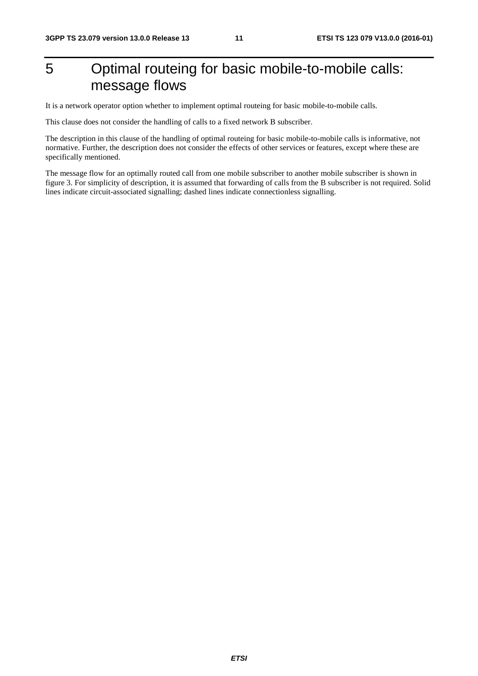## 5 Optimal routeing for basic mobile-to-mobile calls: message flows

It is a network operator option whether to implement optimal routeing for basic mobile-to-mobile calls.

This clause does not consider the handling of calls to a fixed network B subscriber.

The description in this clause of the handling of optimal routeing for basic mobile-to-mobile calls is informative, not normative. Further, the description does not consider the effects of other services or features, except where these are specifically mentioned.

The message flow for an optimally routed call from one mobile subscriber to another mobile subscriber is shown in figure 3. For simplicity of description, it is assumed that forwarding of calls from the B subscriber is not required. Solid lines indicate circuit-associated signalling; dashed lines indicate connectionless signalling.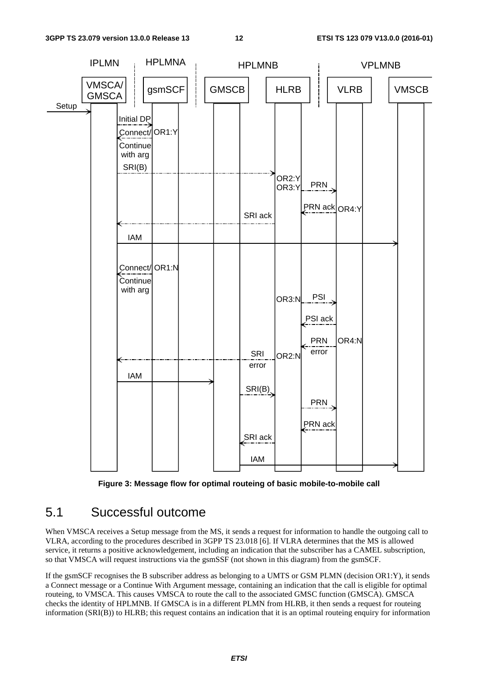

**Figure 3: Message flow for optimal routeing of basic mobile-to-mobile call** 

## 5.1 Successful outcome

When VMSCA receives a Setup message from the MS, it sends a request for information to handle the outgoing call to VLRA, according to the procedures described in 3GPP TS 23.018 [6]. If VLRA determines that the MS is allowed service, it returns a positive acknowledgement, including an indication that the subscriber has a CAMEL subscription, so that VMSCA will request instructions via the gsmSSF (not shown in this diagram) from the gsmSCF.

If the gsmSCF recognises the B subscriber address as belonging to a UMTS or GSM PLMN (decision OR1:Y), it sends a Connect message or a Continue With Argument message, containing an indication that the call is eligible for optimal routeing, to VMSCA. This causes VMSCA to route the call to the associated GMSC function (GMSCA). GMSCA checks the identity of HPLMNB. If GMSCA is in a different PLMN from HLRB, it then sends a request for routeing information (SRI(B)) to HLRB; this request contains an indication that it is an optimal routeing enquiry for information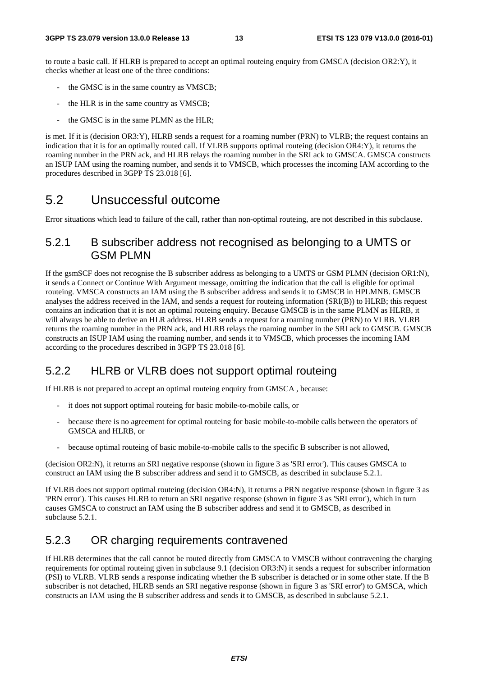to route a basic call. If HLRB is prepared to accept an optimal routeing enquiry from GMSCA (decision OR2:Y), it checks whether at least one of the three conditions:

- the GMSC is in the same country as VMSCB;
- the HLR is in the same country as VMSCB;
- the GMSC is in the same PLMN as the HLR;

is met. If it is (decision OR3:Y), HLRB sends a request for a roaming number (PRN) to VLRB; the request contains an indication that it is for an optimally routed call. If VLRB supports optimal routeing (decision OR4:Y), it returns the roaming number in the PRN ack, and HLRB relays the roaming number in the SRI ack to GMSCA. GMSCA constructs an ISUP IAM using the roaming number, and sends it to VMSCB, which processes the incoming IAM according to the procedures described in 3GPP TS 23.018 [6].

## 5.2 Unsuccessful outcome

Error situations which lead to failure of the call, rather than non-optimal routeing, are not described in this subclause.

#### 5.2.1 B subscriber address not recognised as belonging to a UMTS or GSM PLMN

If the gsmSCF does not recognise the B subscriber address as belonging to a UMTS or GSM PLMN (decision OR1:N), it sends a Connect or Continue With Argument message, omitting the indication that the call is eligible for optimal routeing. VMSCA constructs an IAM using the B subscriber address and sends it to GMSCB in HPLMNB. GMSCB analyses the address received in the IAM, and sends a request for routeing information (SRI(B)) to HLRB; this request contains an indication that it is not an optimal routeing enquiry. Because GMSCB is in the same PLMN as HLRB, it will always be able to derive an HLR address. HLRB sends a request for a roaming number (PRN) to VLRB. VLRB returns the roaming number in the PRN ack, and HLRB relays the roaming number in the SRI ack to GMSCB. GMSCB constructs an ISUP IAM using the roaming number, and sends it to VMSCB, which processes the incoming IAM according to the procedures described in 3GPP TS 23.018 [6].

#### 5.2.2 HLRB or VLRB does not support optimal routeing

If HLRB is not prepared to accept an optimal routeing enquiry from GMSCA , because:

- it does not support optimal routeing for basic mobile-to-mobile calls, or
- because there is no agreement for optimal routeing for basic mobile-to-mobile calls between the operators of GMSCA and HLRB, or
- because optimal routeing of basic mobile-to-mobile calls to the specific B subscriber is not allowed,

(decision OR2:N), it returns an SRI negative response (shown in figure 3 as 'SRI error'). This causes GMSCA to construct an IAM using the B subscriber address and send it to GMSCB, as described in subclause 5.2.1.

If VLRB does not support optimal routeing (decision OR4:N), it returns a PRN negative response (shown in figure 3 as 'PRN error'). This causes HLRB to return an SRI negative response (shown in figure 3 as 'SRI error'), which in turn causes GMSCA to construct an IAM using the B subscriber address and send it to GMSCB, as described in subclause 5.2.1.

#### 5.2.3 OR charging requirements contravened

If HLRB determines that the call cannot be routed directly from GMSCA to VMSCB without contravening the charging requirements for optimal routeing given in subclause 9.1 (decision OR3:N) it sends a request for subscriber information (PSI) to VLRB. VLRB sends a response indicating whether the B subscriber is detached or in some other state. If the B subscriber is not detached, HLRB sends an SRI negative response (shown in figure 3 as 'SRI error') to GMSCA, which constructs an IAM using the B subscriber address and sends it to GMSCB, as described in subclause 5.2.1.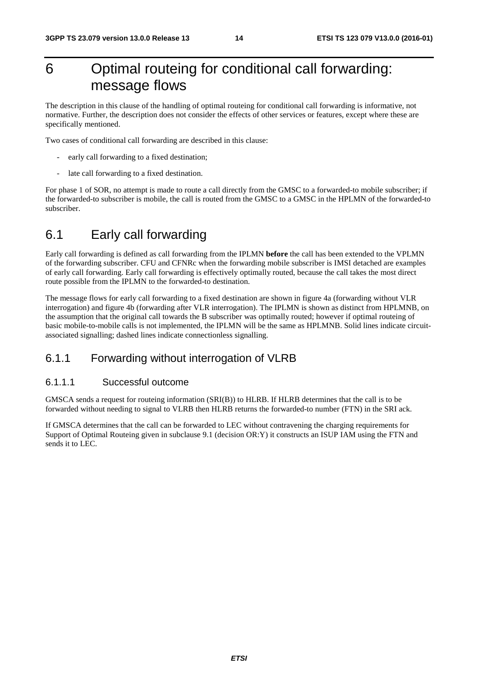## 6 Optimal routeing for conditional call forwarding: message flows

The description in this clause of the handling of optimal routeing for conditional call forwarding is informative, not normative. Further, the description does not consider the effects of other services or features, except where these are specifically mentioned.

Two cases of conditional call forwarding are described in this clause:

- early call forwarding to a fixed destination;
- late call forwarding to a fixed destination.

For phase 1 of SOR, no attempt is made to route a call directly from the GMSC to a forwarded-to mobile subscriber; if the forwarded-to subscriber is mobile, the call is routed from the GMSC to a GMSC in the HPLMN of the forwarded-to subscriber.

## 6.1 Early call forwarding

Early call forwarding is defined as call forwarding from the IPLMN **before** the call has been extended to the VPLMN of the forwarding subscriber. CFU and CFNRc when the forwarding mobile subscriber is IMSI detached are examples of early call forwarding. Early call forwarding is effectively optimally routed, because the call takes the most direct route possible from the IPLMN to the forwarded-to destination.

The message flows for early call forwarding to a fixed destination are shown in figure 4a (forwarding without VLR interrogation) and figure 4b (forwarding after VLR interrogation). The IPLMN is shown as distinct from HPLMNB, on the assumption that the original call towards the B subscriber was optimally routed; however if optimal routeing of basic mobile-to-mobile calls is not implemented, the IPLMN will be the same as HPLMNB. Solid lines indicate circuitassociated signalling; dashed lines indicate connectionless signalling.

#### 6.1.1 Forwarding without interrogation of VLRB

#### 6.1.1.1 Successful outcome

GMSCA sends a request for routeing information (SRI(B)) to HLRB. If HLRB determines that the call is to be forwarded without needing to signal to VLRB then HLRB returns the forwarded-to number (FTN) in the SRI ack.

If GMSCA determines that the call can be forwarded to LEC without contravening the charging requirements for Support of Optimal Routeing given in subclause 9.1 (decision OR:Y) it constructs an ISUP IAM using the FTN and sends it to LEC.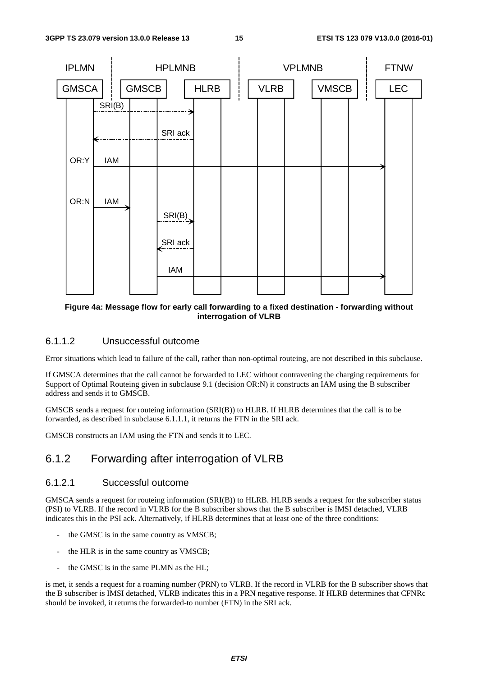

#### **Figure 4a: Message flow for early call forwarding to a fixed destination - forwarding without interrogation of VLRB**

#### 6.1.1.2 Unsuccessful outcome

Error situations which lead to failure of the call, rather than non-optimal routeing, are not described in this subclause.

If GMSCA determines that the call cannot be forwarded to LEC without contravening the charging requirements for Support of Optimal Routeing given in subclause 9.1 (decision OR:N) it constructs an IAM using the B subscriber address and sends it to GMSCB.

GMSCB sends a request for routeing information (SRI(B)) to HLRB. If HLRB determines that the call is to be forwarded, as described in subclause 6.1.1.1, it returns the FTN in the SRI ack.

GMSCB constructs an IAM using the FTN and sends it to LEC.

#### 6.1.2 Forwarding after interrogation of VLRB

#### 6.1.2.1 Successful outcome

GMSCA sends a request for routeing information (SRI(B)) to HLRB. HLRB sends a request for the subscriber status (PSI) to VLRB. If the record in VLRB for the B subscriber shows that the B subscriber is IMSI detached, VLRB indicates this in the PSI ack. Alternatively, if HLRB determines that at least one of the three conditions:

- the GMSC is in the same country as VMSCB;
- the HLR is in the same country as VMSCB;
- the GMSC is in the same PLMN as the HL;

is met, it sends a request for a roaming number (PRN) to VLRB. If the record in VLRB for the B subscriber shows that the B subscriber is IMSI detached, VLRB indicates this in a PRN negative response. If HLRB determines that CFNRc should be invoked, it returns the forwarded-to number (FTN) in the SRI ack.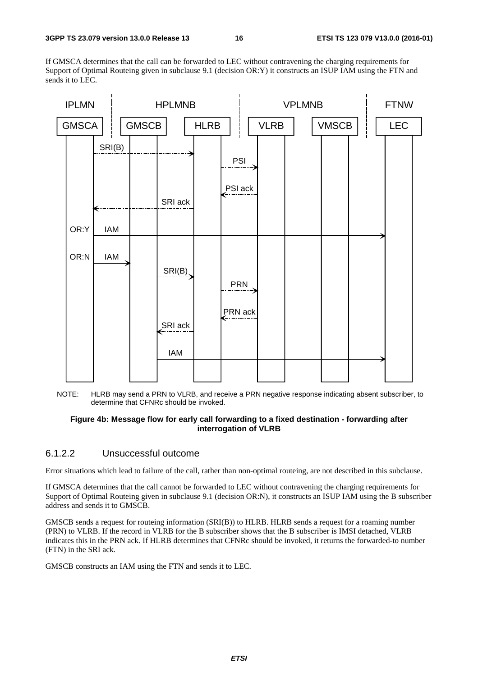If GMSCA determines that the call can be forwarded to LEC without contravening the charging requirements for Support of Optimal Routeing given in subclause 9.1 (decision OR:Y) it constructs an ISUP IAM using the FTN and sends it to LEC.



NOTE: HLRB may send a PRN to VLRB, and receive a PRN negative response indicating absent subscriber, to determine that CFNRc should be invoked.

#### **Figure 4b: Message flow for early call forwarding to a fixed destination - forwarding after interrogation of VLRB**

#### 6.1.2.2 Unsuccessful outcome

Error situations which lead to failure of the call, rather than non-optimal routeing, are not described in this subclause.

If GMSCA determines that the call cannot be forwarded to LEC without contravening the charging requirements for Support of Optimal Routeing given in subclause 9.1 (decision OR:N), it constructs an ISUP IAM using the B subscriber address and sends it to GMSCB.

GMSCB sends a request for routeing information (SRI(B)) to HLRB. HLRB sends a request for a roaming number (PRN) to VLRB. If the record in VLRB for the B subscriber shows that the B subscriber is IMSI detached, VLRB indicates this in the PRN ack. If HLRB determines that CFNRc should be invoked, it returns the forwarded-to number (FTN) in the SRI ack.

GMSCB constructs an IAM using the FTN and sends it to LEC.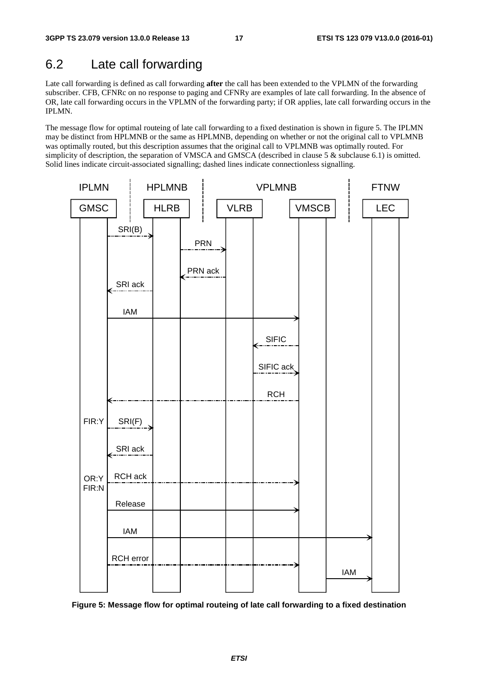## 6.2 Late call forwarding

Late call forwarding is defined as call forwarding **after** the call has been extended to the VPLMN of the forwarding subscriber. CFB, CFNRc on no response to paging and CFNRy are examples of late call forwarding. In the absence of OR, late call forwarding occurs in the VPLMN of the forwarding party; if OR applies, late call forwarding occurs in the IPLMN.

The message flow for optimal routeing of late call forwarding to a fixed destination is shown in figure 5. The IPLMN may be distinct from HPLMNB or the same as HPLMNB, depending on whether or not the original call to VPLMNB was optimally routed, but this description assumes that the original call to VPLMNB was optimally routed. For simplicity of description, the separation of VMSCA and GMSCA (described in clause 5  $\&$  subclause 6.1) is omitted. Solid lines indicate circuit-associated signalling; dashed lines indicate connectionless signalling.



**Figure 5: Message flow for optimal routeing of late call forwarding to a fixed destination**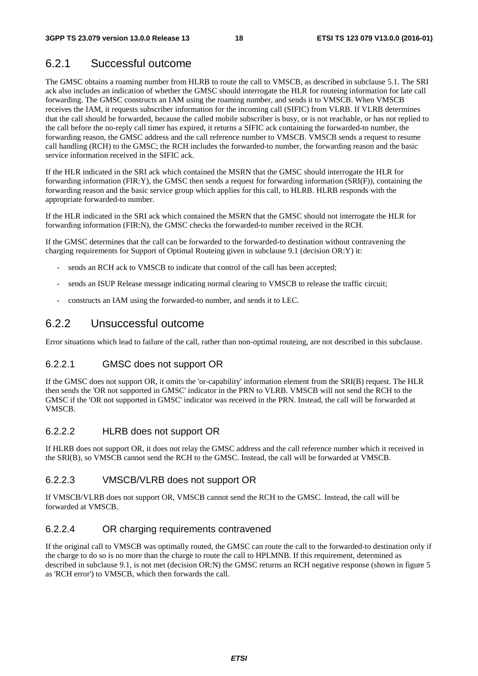### 6.2.1 Successful outcome

The GMSC obtains a roaming number from HLRB to route the call to VMSCB, as described in subclause 5.1. The SRI ack also includes an indication of whether the GMSC should interrogate the HLR for routeing information for late call forwarding. The GMSC constructs an IAM using the roaming number, and sends it to VMSCB. When VMSCB receives the IAM, it requests subscriber information for the incoming call (SIFIC) from VLRB. If VLRB determines that the call should be forwarded, because the called mobile subscriber is busy, or is not reachable, or has not replied to the call before the no-reply call timer has expired, it returns a SIFIC ack containing the forwarded-to number, the forwarding reason, the GMSC address and the call reference number to VMSCB. VMSCB sends a request to resume call handling (RCH) to the GMSC; the RCH includes the forwarded-to number, the forwarding reason and the basic service information received in the SIFIC ack.

If the HLR indicated in the SRI ack which contained the MSRN that the GMSC should interrogate the HLR for forwarding information (FIR:Y), the GMSC then sends a request for forwarding information (SRI(F)), containing the forwarding reason and the basic service group which applies for this call, to HLRB. HLRB responds with the appropriate forwarded-to number.

If the HLR indicated in the SRI ack which contained the MSRN that the GMSC should not interrogate the HLR for forwarding information (FIR:N), the GMSC checks the forwarded-to number received in the RCH.

If the GMSC determines that the call can be forwarded to the forwarded-to destination without contravening the charging requirements for Support of Optimal Routeing given in subclause 9.1 (decision OR:Y) it:

- sends an RCH ack to VMSCB to indicate that control of the call has been accepted;
- sends an ISUP Release message indicating normal clearing to VMSCB to release the traffic circuit;
- constructs an IAM using the forwarded-to number, and sends it to LEC.

#### 6.2.2 Unsuccessful outcome

Error situations which lead to failure of the call, rather than non-optimal routeing, are not described in this subclause.

#### 6.2.2.1 GMSC does not support OR

If the GMSC does not support OR, it omits the 'or-capability' information element from the SRI(B) request. The HLR then sends the 'OR not supported in GMSC' indicator in the PRN to VLRB. VMSCB will not send the RCH to the GMSC if the 'OR not supported in GMSC' indicator was received in the PRN. Instead, the call will be forwarded at VMSCB.

#### 6.2.2.2 HLRB does not support OR

If HLRB does not support OR, it does not relay the GMSC address and the call reference number which it received in the SRI(B), so VMSCB cannot send the RCH to the GMSC. Instead, the call will be forwarded at VMSCB.

#### 6.2.2.3 VMSCB/VLRB does not support OR

If VMSCB/VLRB does not support OR, VMSCB cannot send the RCH to the GMSC. Instead, the call will be forwarded at VMSCB.

#### 6.2.2.4 OR charging requirements contravened

If the original call to VMSCB was optimally routed, the GMSC can route the call to the forwarded-to destination only if the charge to do so is no more than the charge to route the call to HPLMNB. If this requirement, determined as described in subclause 9.1, is not met (decision OR:N) the GMSC returns an RCH negative response (shown in figure 5 as 'RCH error') to VMSCB, which then forwards the call.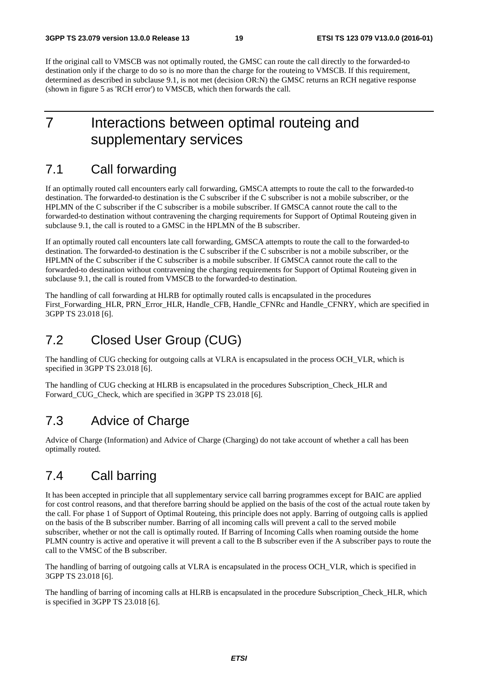If the original call to VMSCB was not optimally routed, the GMSC can route the call directly to the forwarded-to destination only if the charge to do so is no more than the charge for the routeing to VMSCB. If this requirement, determined as described in subclause 9.1, is not met (decision OR:N) the GMSC returns an RCH negative response (shown in figure 5 as 'RCH error') to VMSCB, which then forwards the call.

## 7 Interactions between optimal routeing and supplementary services

## 7.1 Call forwarding

If an optimally routed call encounters early call forwarding, GMSCA attempts to route the call to the forwarded-to destination. The forwarded-to destination is the C subscriber if the C subscriber is not a mobile subscriber, or the HPLMN of the C subscriber if the C subscriber is a mobile subscriber. If GMSCA cannot route the call to the forwarded-to destination without contravening the charging requirements for Support of Optimal Routeing given in subclause 9.1, the call is routed to a GMSC in the HPLMN of the B subscriber.

If an optimally routed call encounters late call forwarding, GMSCA attempts to route the call to the forwarded-to destination. The forwarded-to destination is the C subscriber if the C subscriber is not a mobile subscriber, or the HPLMN of the C subscriber if the C subscriber is a mobile subscriber. If GMSCA cannot route the call to the forwarded-to destination without contravening the charging requirements for Support of Optimal Routeing given in subclause 9.1, the call is routed from VMSCB to the forwarded-to destination.

The handling of call forwarding at HLRB for optimally routed calls is encapsulated in the procedures First\_Forwarding\_HLR, PRN\_Error\_HLR, Handle\_CFB, Handle\_CFNRc and Handle\_CFNRY, which are specified in 3GPP TS 23.018 [6].

## 7.2 Closed User Group (CUG)

The handling of CUG checking for outgoing calls at VLRA is encapsulated in the process OCH\_VLR, which is specified in 3GPP TS 23.018 [6].

The handling of CUG checking at HLRB is encapsulated in the procedures Subscription\_Check\_HLR and Forward CUG Check, which are specified in 3GPP TS 23.018 [6].

## 7.3 Advice of Charge

Advice of Charge (Information) and Advice of Charge (Charging) do not take account of whether a call has been optimally routed.

## 7.4 Call barring

It has been accepted in principle that all supplementary service call barring programmes except for BAIC are applied for cost control reasons, and that therefore barring should be applied on the basis of the cost of the actual route taken by the call. For phase 1 of Support of Optimal Routeing, this principle does not apply. Barring of outgoing calls is applied on the basis of the B subscriber number. Barring of all incoming calls will prevent a call to the served mobile subscriber, whether or not the call is optimally routed. If Barring of Incoming Calls when roaming outside the home PLMN country is active and operative it will prevent a call to the B subscriber even if the A subscriber pays to route the call to the VMSC of the B subscriber.

The handling of barring of outgoing calls at VLRA is encapsulated in the process OCH\_VLR, which is specified in 3GPP TS 23.018 [6].

The handling of barring of incoming calls at HLRB is encapsulated in the procedure Subscription\_Check\_HLR, which is specified in 3GPP TS 23.018 [6].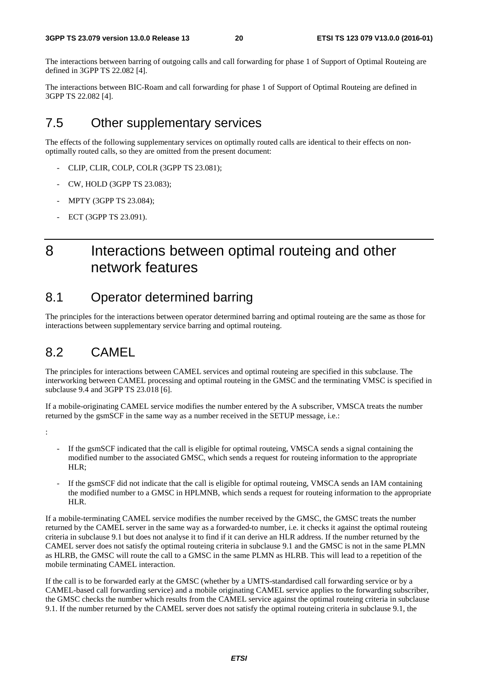The interactions between barring of outgoing calls and call forwarding for phase 1 of Support of Optimal Routeing are defined in 3GPP TS 22.082 [4].

The interactions between BIC-Roam and call forwarding for phase 1 of Support of Optimal Routeing are defined in 3GPP TS 22.082 [4].

## 7.5 Other supplementary services

The effects of the following supplementary services on optimally routed calls are identical to their effects on nonoptimally routed calls, so they are omitted from the present document:

- CLIP, CLIR, COLP, COLR (3GPP TS 23.081);
- CW, HOLD (3GPP TS 23.083);
- MPTY (3GPP TS 23.084);
- ECT (3GPP TS 23.091).

## 8 Interactions between optimal routeing and other network features

## 8.1 Operator determined barring

The principles for the interactions between operator determined barring and optimal routeing are the same as those for interactions between supplementary service barring and optimal routeing.

## 8.2 CAMEL

:

The principles for interactions between CAMEL services and optimal routeing are specified in this subclause. The interworking between CAMEL processing and optimal routeing in the GMSC and the terminating VMSC is specified in subclause 9.4 and 3GPP TS 23.018 [6].

If a mobile-originating CAMEL service modifies the number entered by the A subscriber, VMSCA treats the number returned by the gsmSCF in the same way as a number received in the SETUP message, i.e.:

- If the gsmSCF indicated that the call is eligible for optimal routeing, VMSCA sends a signal containing the modified number to the associated GMSC, which sends a request for routeing information to the appropriate HLR;
- If the gsmSCF did not indicate that the call is eligible for optimal routeing, VMSCA sends an IAM containing the modified number to a GMSC in HPLMNB, which sends a request for routeing information to the appropriate HLR.

If a mobile-terminating CAMEL service modifies the number received by the GMSC, the GMSC treats the number returned by the CAMEL server in the same way as a forwarded-to number, i.e. it checks it against the optimal routeing criteria in subclause 9.1 but does not analyse it to find if it can derive an HLR address. If the number returned by the CAMEL server does not satisfy the optimal routeing criteria in subclause 9.1 and the GMSC is not in the same PLMN as HLRB, the GMSC will route the call to a GMSC in the same PLMN as HLRB. This will lead to a repetition of the mobile terminating CAMEL interaction.

If the call is to be forwarded early at the GMSC (whether by a UMTS-standardised call forwarding service or by a CAMEL-based call forwarding service) and a mobile originating CAMEL service applies to the forwarding subscriber, the GMSC checks the number which results from the CAMEL service against the optimal routeing criteria in subclause 9.1. If the number returned by the CAMEL server does not satisfy the optimal routeing criteria in subclause 9.1, the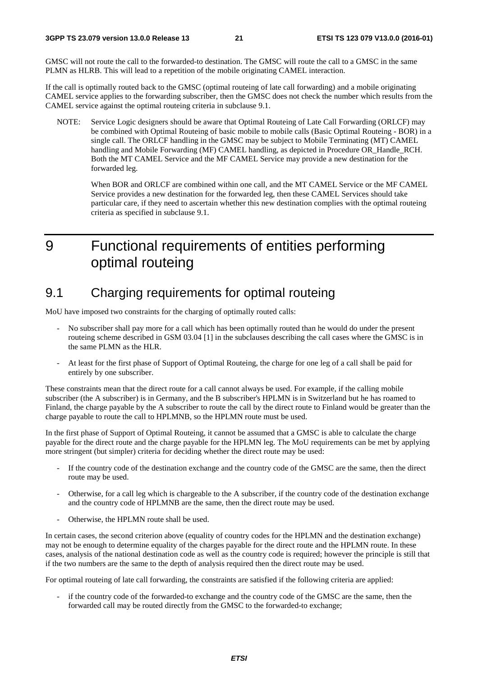GMSC will not route the call to the forwarded-to destination. The GMSC will route the call to a GMSC in the same PLMN as HLRB. This will lead to a repetition of the mobile originating CAMEL interaction.

If the call is optimally routed back to the GMSC (optimal routeing of late call forwarding) and a mobile originating CAMEL service applies to the forwarding subscriber, then the GMSC does not check the number which results from the CAMEL service against the optimal routeing criteria in subclause 9.1.

NOTE: Service Logic designers should be aware that Optimal Routeing of Late Call Forwarding (ORLCF) may be combined with Optimal Routeing of basic mobile to mobile calls (Basic Optimal Routeing - BOR) in a single call. The ORLCF handling in the GMSC may be subject to Mobile Terminating (MT) CAMEL handling and Mobile Forwarding (MF) CAMEL handling, as depicted in Procedure OR\_Handle\_RCH. Both the MT CAMEL Service and the MF CAMEL Service may provide a new destination for the forwarded leg.

 When BOR and ORLCF are combined within one call, and the MT CAMEL Service or the MF CAMEL Service provides a new destination for the forwarded leg, then these CAMEL Services should take particular care, if they need to ascertain whether this new destination complies with the optimal routeing criteria as specified in subclause 9.1.

## 9 Functional requirements of entities performing optimal routeing

## 9.1 Charging requirements for optimal routeing

MoU have imposed two constraints for the charging of optimally routed calls:

- No subscriber shall pay more for a call which has been optimally routed than he would do under the present routeing scheme described in GSM 03.04 [1] in the subclauses describing the call cases where the GMSC is in the same PLMN as the HLR.
- At least for the first phase of Support of Optimal Routeing, the charge for one leg of a call shall be paid for entirely by one subscriber.

These constraints mean that the direct route for a call cannot always be used. For example, if the calling mobile subscriber (the A subscriber) is in Germany, and the B subscriber's HPLMN is in Switzerland but he has roamed to Finland, the charge payable by the A subscriber to route the call by the direct route to Finland would be greater than the charge payable to route the call to HPLMNB, so the HPLMN route must be used.

In the first phase of Support of Optimal Routeing, it cannot be assumed that a GMSC is able to calculate the charge payable for the direct route and the charge payable for the HPLMN leg. The MoU requirements can be met by applying more stringent (but simpler) criteria for deciding whether the direct route may be used:

- If the country code of the destination exchange and the country code of the GMSC are the same, then the direct route may be used.
- Otherwise, for a call leg which is chargeable to the A subscriber, if the country code of the destination exchange and the country code of HPLMNB are the same, then the direct route may be used.
- Otherwise, the HPLMN route shall be used.

In certain cases, the second criterion above (equality of country codes for the HPLMN and the destination exchange) may not be enough to determine equality of the charges payable for the direct route and the HPLMN route. In these cases, analysis of the national destination code as well as the country code is required; however the principle is still that if the two numbers are the same to the depth of analysis required then the direct route may be used.

For optimal routeing of late call forwarding, the constraints are satisfied if the following criteria are applied:

if the country code of the forwarded-to exchange and the country code of the GMSC are the same, then the forwarded call may be routed directly from the GMSC to the forwarded-to exchange;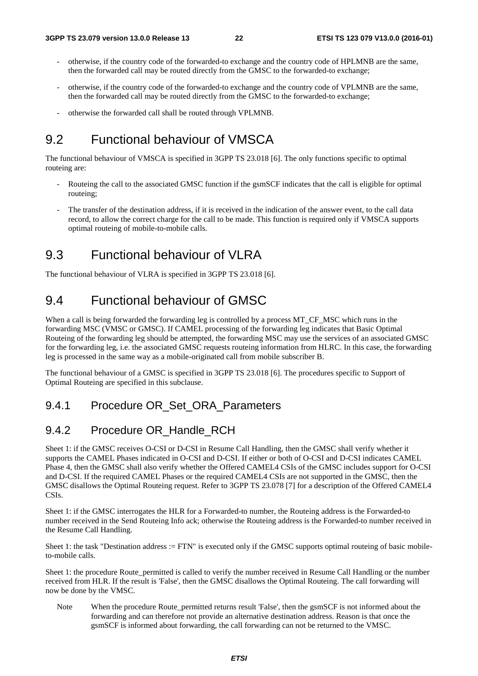- otherwise, if the country code of the forwarded-to exchange and the country code of HPLMNB are the same, then the forwarded call may be routed directly from the GMSC to the forwarded-to exchange;
- otherwise, if the country code of the forwarded-to exchange and the country code of VPLMNB are the same, then the forwarded call may be routed directly from the GMSC to the forwarded-to exchange;
- otherwise the forwarded call shall be routed through VPLMNB.

## 9.2 Functional behaviour of VMSCA

The functional behaviour of VMSCA is specified in 3GPP TS 23.018 [6]. The only functions specific to optimal routeing are:

- Routeing the call to the associated GMSC function if the gsmSCF indicates that the call is eligible for optimal routeing;
- The transfer of the destination address, if it is received in the indication of the answer event, to the call data record, to allow the correct charge for the call to be made. This function is required only if VMSCA supports optimal routeing of mobile-to-mobile calls.

## 9.3 Functional behaviour of VLRA

The functional behaviour of VLRA is specified in 3GPP TS 23.018 [6].

## 9.4 Functional behaviour of GMSC

When a call is being forwarded the forwarding leg is controlled by a process MT\_CF\_MSC which runs in the forwarding MSC (VMSC or GMSC). If CAMEL processing of the forwarding leg indicates that Basic Optimal Routeing of the forwarding leg should be attempted, the forwarding MSC may use the services of an associated GMSC for the forwarding leg, i.e. the associated GMSC requests routeing information from HLRC. In this case, the forwarding leg is processed in the same way as a mobile-originated call from mobile subscriber B.

The functional behaviour of a GMSC is specified in 3GPP TS 23.018 [6]. The procedures specific to Support of Optimal Routeing are specified in this subclause.

#### 9.4.1 Procedure OR\_Set\_ORA\_Parameters

#### 9.4.2 Procedure OR\_Handle\_RCH

Sheet 1: if the GMSC receives O-CSI or D-CSI in Resume Call Handling, then the GMSC shall verify whether it supports the CAMEL Phases indicated in O-CSI and D-CSI. If either or both of O-CSI and D-CSI indicates CAMEL Phase 4, then the GMSC shall also verify whether the Offered CAMEL4 CSIs of the GMSC includes support for O-CSI and D-CSI. If the required CAMEL Phases or the required CAMEL4 CSIs are not supported in the GMSC, then the GMSC disallows the Optimal Routeing request. Refer to 3GPP TS 23.078 [7] for a description of the Offered CAMEL4 CSIs.

Sheet 1: if the GMSC interrogates the HLR for a Forwarded-to number, the Routeing address is the Forwarded-to number received in the Send Routeing Info ack; otherwise the Routeing address is the Forwarded-to number received in the Resume Call Handling.

Sheet 1: the task "Destination address := FTN" is executed only if the GMSC supports optimal routeing of basic mobileto-mobile calls.

Sheet 1: the procedure Route permitted is called to verify the number received in Resume Call Handling or the number received from HLR. If the result is 'False', then the GMSC disallows the Optimal Routeing. The call forwarding will now be done by the VMSC.

Note When the procedure Route\_permitted returns result 'False', then the gsmSCF is not informed about the forwarding and can therefore not provide an alternative destination address. Reason is that once the gsmSCF is informed about forwarding, the call forwarding can not be returned to the VMSC.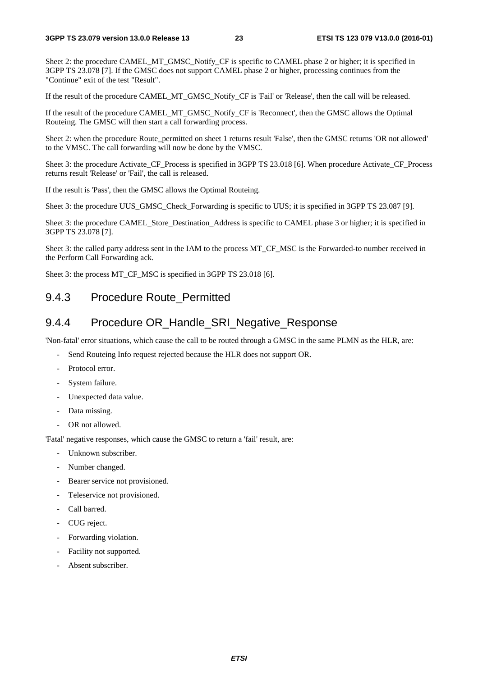Sheet 2: the procedure CAMEL\_MT\_GMSC\_Notify\_CF is specific to CAMEL phase 2 or higher; it is specified in 3GPP TS 23.078 [7]. If the GMSC does not support CAMEL phase 2 or higher, processing continues from the "Continue" exit of the test "Result".

If the result of the procedure CAMEL\_MT\_GMSC\_Notify\_CF is 'Fail' or 'Release', then the call will be released.

If the result of the procedure CAMEL\_MT\_GMSC\_Notify\_CF is 'Reconnect', then the GMSC allows the Optimal Routeing. The GMSC will then start a call forwarding process.

Sheet 2: when the procedure Route permitted on sheet 1 returns result 'False', then the GMSC returns 'OR not allowed' to the VMSC. The call forwarding will now be done by the VMSC.

Sheet 3: the procedure Activate CF Process is specified in 3GPP TS 23.018 [6]. When procedure Activate CF Process returns result 'Release' or 'Fail', the call is released.

If the result is 'Pass', then the GMSC allows the Optimal Routeing.

Sheet 3: the procedure UUS\_GMSC\_Check\_Forwarding is specific to UUS; it is specified in 3GPP TS 23.087 [9].

Sheet 3: the procedure CAMEL\_Store\_Destination\_Address is specific to CAMEL phase 3 or higher; it is specified in 3GPP TS 23.078 [7].

Sheet 3: the called party address sent in the IAM to the process MT\_CF\_MSC is the Forwarded-to number received in the Perform Call Forwarding ack.

Sheet 3: the process MT\_CF\_MSC is specified in 3GPP TS 23.018 [6].

#### 9.4.3 Procedure Route\_Permitted

#### 9.4.4 Procedure OR\_Handle\_SRI\_Negative\_Response

'Non-fatal' error situations, which cause the call to be routed through a GMSC in the same PLMN as the HLR, are:

- Send Routeing Info request rejected because the HLR does not support OR.
- Protocol error.
- System failure.
- Unexpected data value.
- Data missing.
- OR not allowed.

'Fatal' negative responses, which cause the GMSC to return a 'fail' result, are:

- Unknown subscriber.
- Number changed.
- Bearer service not provisioned.
- Teleservice not provisioned.
- Call barred.
- CUG reject.
- Forwarding violation.
- Facility not supported.
- Absent subscriber.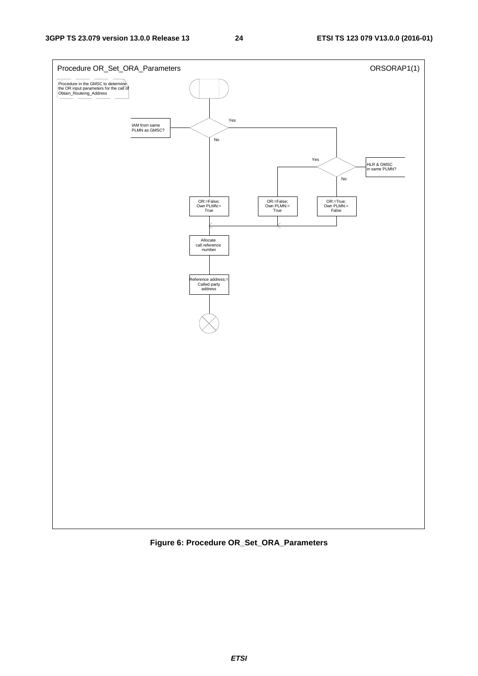

**Figure 6: Procedure OR\_Set\_ORA\_Parameters**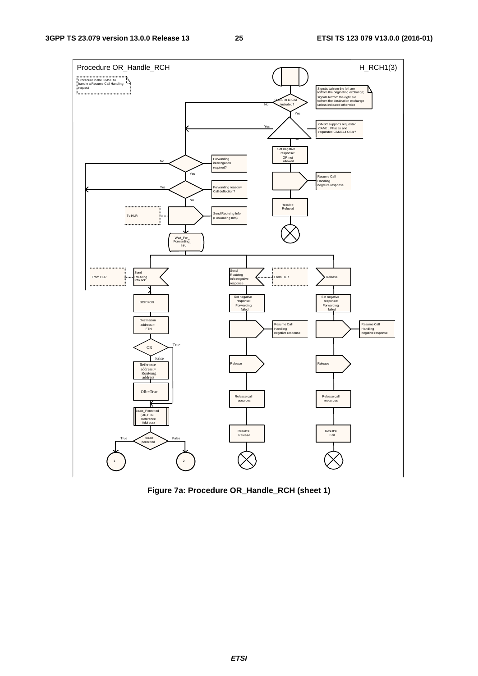

**Figure 7a: Procedure OR\_Handle\_RCH (sheet 1)**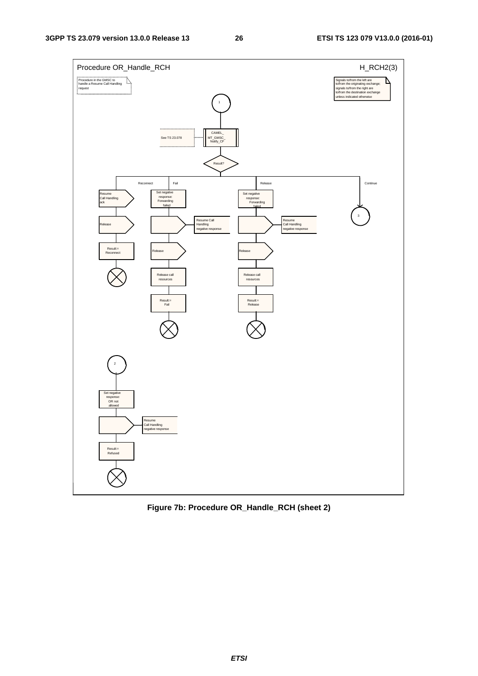

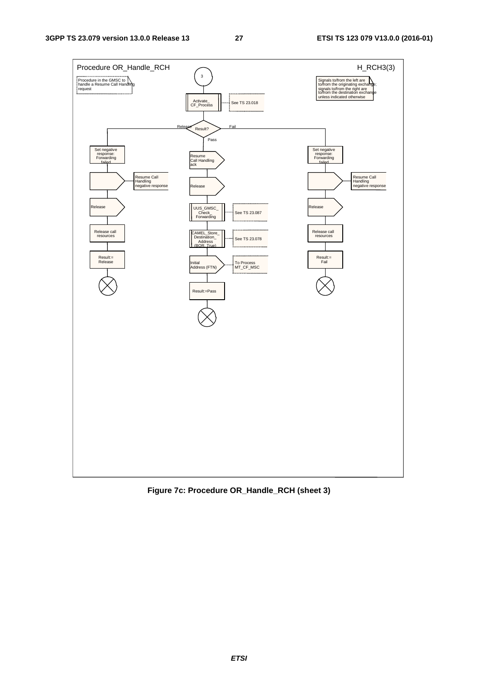

**Figure 7c: Procedure OR\_Handle\_RCH (sheet 3)**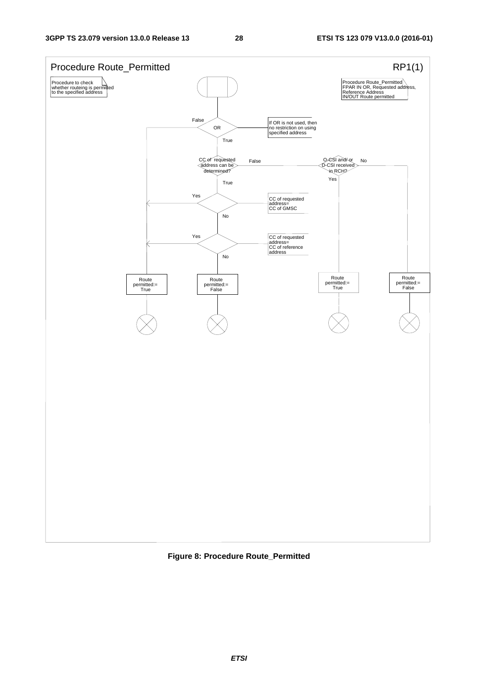

**Figure 8: Procedure Route\_Permitted**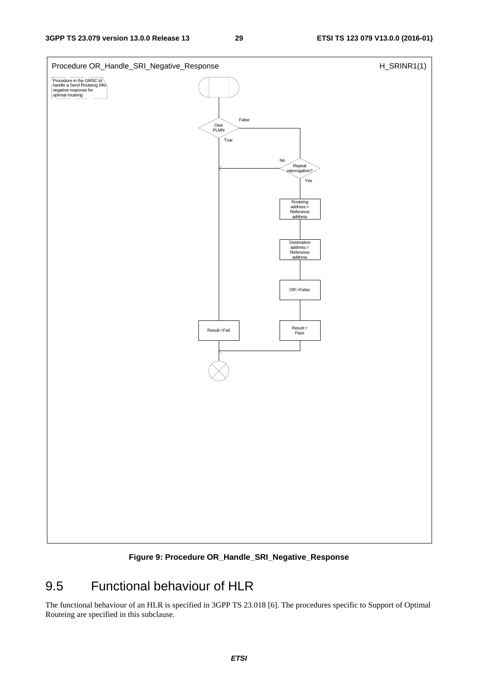

**Figure 9: Procedure OR\_Handle\_SRI\_Negative\_Response** 

## 9.5 Functional behaviour of HLR

The functional behaviour of an HLR is specified in 3GPP TS 23.018 [6]. The procedures specific to Support of Optimal Routeing are specified in this subclause.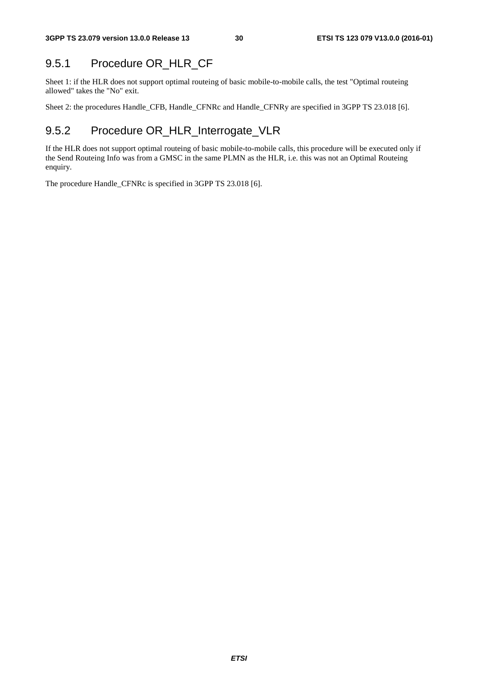## 9.5.1 Procedure OR\_HLR\_CF

Sheet 1: if the HLR does not support optimal routeing of basic mobile-to-mobile calls, the test "Optimal routeing allowed" takes the "No" exit.

Sheet 2: the procedures Handle\_CFB, Handle\_CFNRc and Handle\_CFNRy are specified in 3GPP TS 23.018 [6].

## 9.5.2 Procedure OR\_HLR\_Interrogate\_VLR

If the HLR does not support optimal routeing of basic mobile-to-mobile calls, this procedure will be executed only if the Send Routeing Info was from a GMSC in the same PLMN as the HLR, i.e. this was not an Optimal Routeing enquiry.

The procedure Handle\_CFNRc is specified in 3GPP TS 23.018 [6].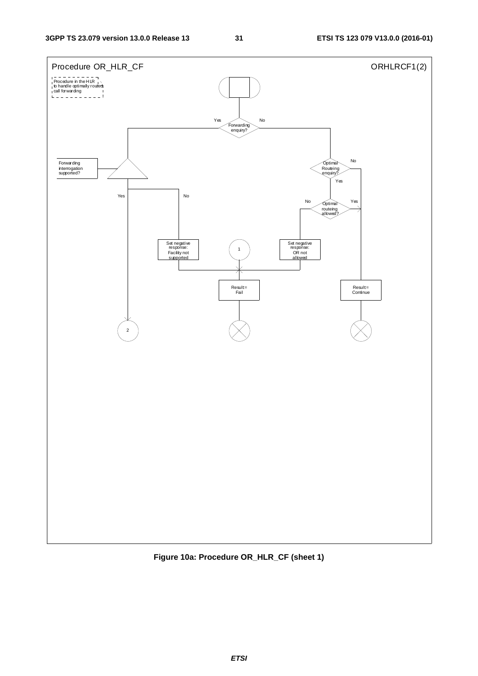

**Figure 10a: Procedure OR\_HLR\_CF (sheet 1)**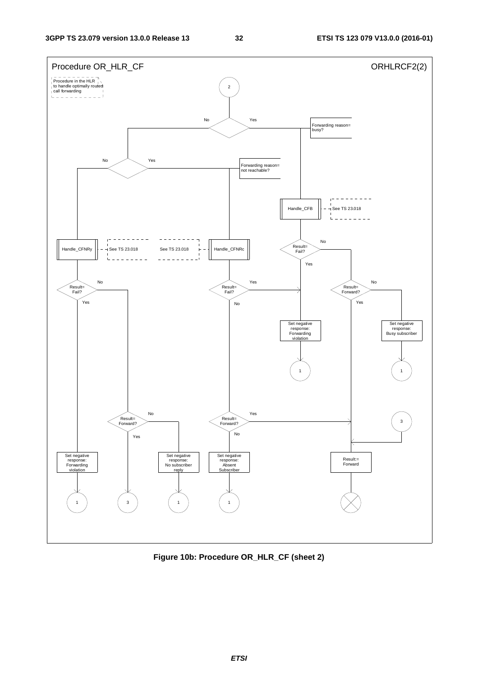

**Figure 10b: Procedure OR\_HLR\_CF (sheet 2)**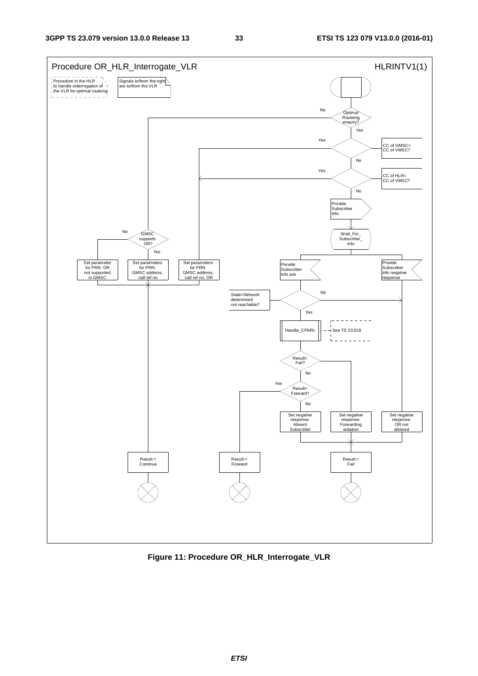

**Figure 11: Procedure OR\_HLR\_Interrogate\_VLR**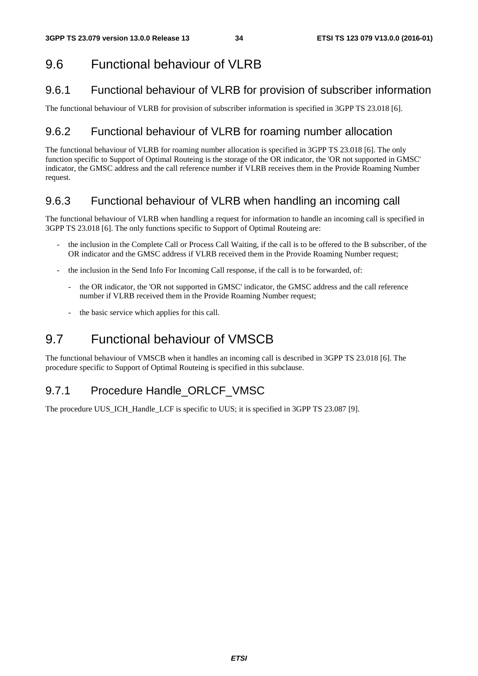## 9.6 Functional behaviour of VLRB

## 9.6.1 Functional behaviour of VLRB for provision of subscriber information

The functional behaviour of VLRB for provision of subscriber information is specified in 3GPP TS 23.018 [6].

### 9.6.2 Functional behaviour of VLRB for roaming number allocation

The functional behaviour of VLRB for roaming number allocation is specified in 3GPP TS 23.018 [6]. The only function specific to Support of Optimal Routeing is the storage of the OR indicator, the 'OR not supported in GMSC' indicator, the GMSC address and the call reference number if VLRB receives them in the Provide Roaming Number request.

## 9.6.3 Functional behaviour of VLRB when handling an incoming call

The functional behaviour of VLRB when handling a request for information to handle an incoming call is specified in 3GPP TS 23.018 [6]. The only functions specific to Support of Optimal Routeing are:

- the inclusion in the Complete Call or Process Call Waiting, if the call is to be offered to the B subscriber, of the OR indicator and the GMSC address if VLRB received them in the Provide Roaming Number request;
- the inclusion in the Send Info For Incoming Call response, if the call is to be forwarded, of:
	- the OR indicator, the 'OR not supported in GMSC' indicator, the GMSC address and the call reference number if VLRB received them in the Provide Roaming Number request;
	- the basic service which applies for this call.

## 9.7 Functional behaviour of VMSCB

The functional behaviour of VMSCB when it handles an incoming call is described in 3GPP TS 23.018 [6]. The procedure specific to Support of Optimal Routeing is specified in this subclause.

## 9.7.1 Procedure Handle ORLCF VMSC

The procedure UUS\_ICH\_Handle\_LCF is specific to UUS; it is specified in 3GPP TS 23.087 [9].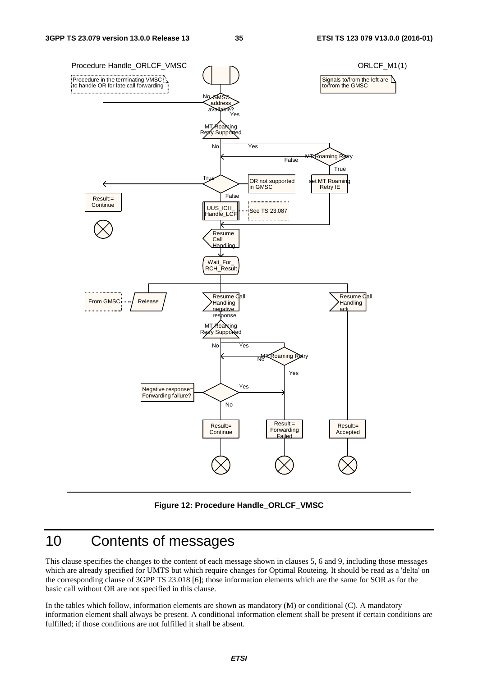

#### **Figure 12: Procedure Handle\_ORLCF\_VMSC**

## 10 Contents of messages

This clause specifies the changes to the content of each message shown in clauses 5, 6 and 9, including those messages which are already specified for UMTS but which require changes for Optimal Routeing. It should be read as a 'delta' on the corresponding clause of 3GPP TS 23.018 [6]; those information elements which are the same for SOR as for the basic call without OR are not specified in this clause.

In the tables which follow, information elements are shown as mandatory (M) or conditional (C). A mandatory information element shall always be present. A conditional information element shall be present if certain conditions are fulfilled; if those conditions are not fulfilled it shall be absent.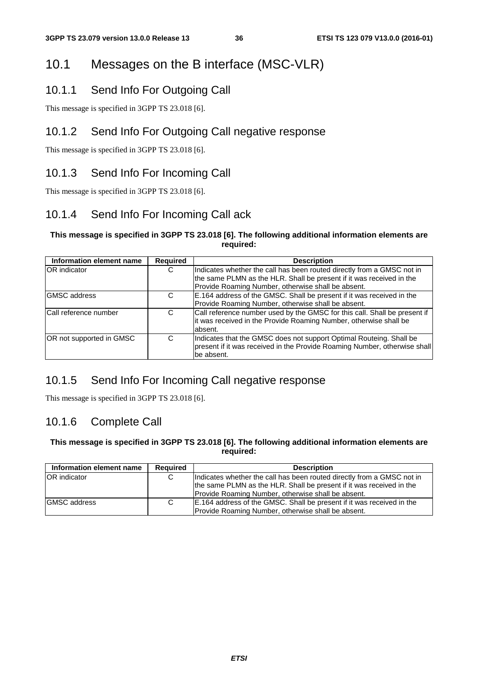## 10.1 Messages on the B interface (MSC-VLR)

### 10.1.1 Send Info For Outgoing Call

This message is specified in 3GPP TS 23.018 [6].

### 10.1.2 Send Info For Outgoing Call negative response

This message is specified in 3GPP TS 23.018 [6].

## 10.1.3 Send Info For Incoming Call

This message is specified in 3GPP TS 23.018 [6].

## 10.1.4 Send Info For Incoming Call ack

#### **This message is specified in 3GPP TS 23.018 [6]. The following additional information elements are required:**

| Information element name     | Required | <b>Description</b>                                                        |
|------------------------------|----------|---------------------------------------------------------------------------|
| <b>OR</b> indicator<br>С     |          | Indicates whether the call has been routed directly from a GMSC not in    |
|                              |          | the same PLMN as the HLR. Shall be present if it was received in the      |
|                              |          | Provide Roaming Number, otherwise shall be absent.                        |
| <b>GMSC</b> address          | C        | E.164 address of the GMSC. Shall be present if it was received in the     |
|                              |          | Provide Roaming Number, otherwise shall be absent.                        |
| <b>Call reference number</b> | C        | Call reference number used by the GMSC for this call. Shall be present if |
|                              |          | it was received in the Provide Roaming Number, otherwise shall be         |
|                              |          | absent.                                                                   |
| OR not supported in GMSC     | C        | Indicates that the GMSC does not support Optimal Routeing. Shall be       |
|                              |          | present if it was received in the Provide Roaming Number, otherwise shall |
|                              |          | lbe absent.                                                               |

## 10.1.5 Send Info For Incoming Call negative response

This message is specified in 3GPP TS 23.018 [6].

### 10.1.6 Complete Call

#### **This message is specified in 3GPP TS 23.018 [6]. The following additional information elements are required:**

| Information element name | <b>Required</b> | <b>Description</b>                                                     |
|--------------------------|-----------------|------------------------------------------------------------------------|
| <b>OR</b> indicator      |                 | Indicates whether the call has been routed directly from a GMSC not in |
|                          |                 | the same PLMN as the HLR. Shall be present if it was received in the   |
|                          |                 | Provide Roaming Number, otherwise shall be absent.                     |
| <b>GMSC</b> address      | C               | E.164 address of the GMSC. Shall be present if it was received in the  |
|                          |                 | Provide Roaming Number, otherwise shall be absent.                     |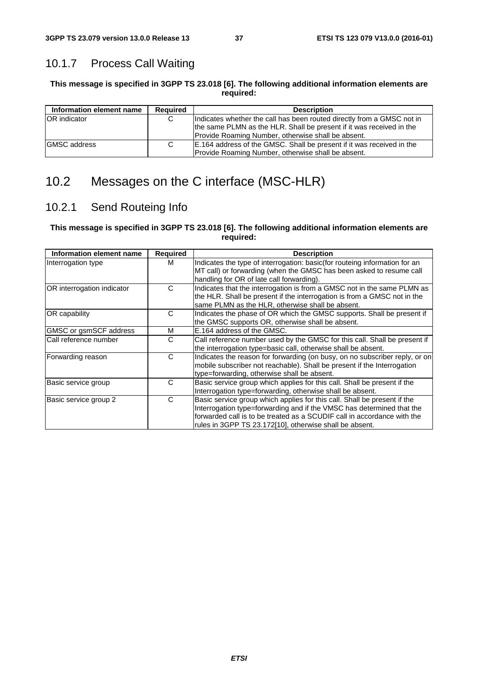## 10.1.7 Process Call Waiting

#### **This message is specified in 3GPP TS 23.018 [6]. The following additional information elements are required:**

| Information element name | <b>Required</b> | <b>Description</b>                                                     |
|--------------------------|-----------------|------------------------------------------------------------------------|
| <b>IOR</b> indicator     | C               | Indicates whether the call has been routed directly from a GMSC not in |
|                          |                 | the same PLMN as the HLR. Shall be present if it was received in the   |
|                          |                 | Provide Roaming Number, otherwise shall be absent.                     |
| <b>IGMSC</b> address     | C               | E.164 address of the GMSC. Shall be present if it was received in the  |
|                          |                 | Provide Roaming Number, otherwise shall be absent.                     |

## 10.2 Messages on the C interface (MSC-HLR)

## 10.2.1 Send Routeing Info

#### **This message is specified in 3GPP TS 23.018 [6]. The following additional information elements are required:**

| Information element name   | <b>Required</b> | <b>Description</b>                                                                                                                                                                                                                                                                      |
|----------------------------|-----------------|-----------------------------------------------------------------------------------------------------------------------------------------------------------------------------------------------------------------------------------------------------------------------------------------|
| Interrogation type         | м               | Indicates the type of interrogation: basic (for routeing information for an<br>MT call) or forwarding (when the GMSC has been asked to resume call<br>handling for OR of late call forwarding).                                                                                         |
| OR interrogation indicator | C               | Indicates that the interrogation is from a GMSC not in the same PLMN as<br>the HLR. Shall be present if the interrogation is from a GMSC not in the<br>same PLMN as the HLR, otherwise shall be absent.                                                                                 |
| <b>OR</b> capability       | C               | Indicates the phase of OR which the GMSC supports. Shall be present if<br>the GMSC supports OR, otherwise shall be absent.                                                                                                                                                              |
| GMSC or gsmSCF address     | м               | E.164 address of the GMSC.                                                                                                                                                                                                                                                              |
| Call reference number      | C               | Call reference number used by the GMSC for this call. Shall be present if<br>the interrogation type=basic call, otherwise shall be absent.                                                                                                                                              |
| Forwarding reason          | C               | Indicates the reason for forwarding (on busy, on no subscriber reply, or on<br>mobile subscriber not reachable). Shall be present if the Interrogation<br>type=forwarding, otherwise shall be absent.                                                                                   |
| Basic service group        | C               | Basic service group which applies for this call. Shall be present if the<br>Interrogation type=forwarding, otherwise shall be absent.                                                                                                                                                   |
| Basic service group 2      | C               | Basic service group which applies for this call. Shall be present if the<br>Interrogation type=forwarding and if the VMSC has determined that the<br>forwarded call is to be treated as a SCUDIF call in accordance with the<br>rules in 3GPP TS 23.172[10], otherwise shall be absent. |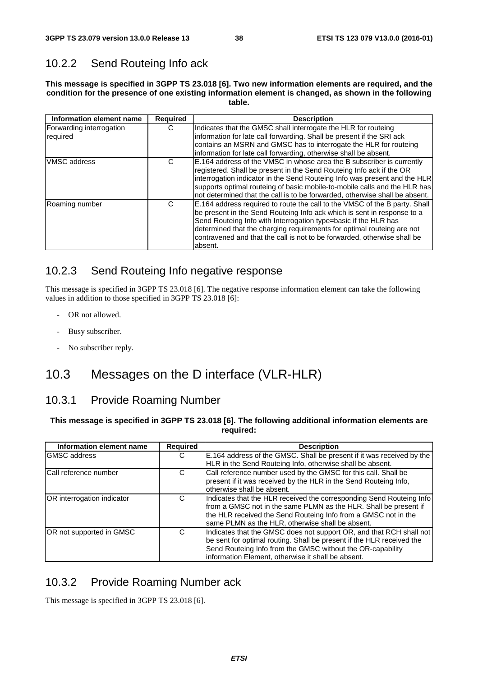## 10.2.2 Send Routeing Info ack

**This message is specified in 3GPP TS 23.018 [6]. Two new information elements are required, and the condition for the presence of one existing information element is changed, as shown in the following table.** 

| Information element name             | <b>Required</b> | <b>Description</b>                                                                                                                                                                                                                                                                                                                                                                        |
|--------------------------------------|-----------------|-------------------------------------------------------------------------------------------------------------------------------------------------------------------------------------------------------------------------------------------------------------------------------------------------------------------------------------------------------------------------------------------|
| Forwarding interrogation<br>required | С               | Indicates that the GMSC shall interrogate the HLR for routeing<br>information for late call forwarding. Shall be present if the SRI ack<br>contains an MSRN and GMSC has to interrogate the HLR for routeing<br>information for late call forwarding, otherwise shall be absent.                                                                                                          |
| <b>VMSC</b> address                  | C               | E.164 address of the VMSC in whose area the B subscriber is currently<br>registered. Shall be present in the Send Routeing Info ack if the OR<br>interrogation indicator in the Send Routeing Info was present and the HLR<br>supports optimal routeing of basic mobile-to-mobile calls and the HLR has<br>not determined that the call is to be forwarded, otherwise shall be absent.    |
| Roaming number                       | С               | E.164 address required to route the call to the VMSC of the B party. Shall<br>be present in the Send Routeing Info ack which is sent in response to a<br>Send Routeing Info with Interrogation type=basic if the HLR has<br>determined that the charging requirements for optimal routeing are not<br>contravened and that the call is not to be forwarded, otherwise shall be<br>absent. |

## 10.2.3 Send Routeing Info negative response

This message is specified in 3GPP TS 23.018 [6]. The negative response information element can take the following values in addition to those specified in 3GPP TS 23.018 [6]:

- OR not allowed.
- Busy subscriber.
- No subscriber reply.

## 10.3 Messages on the D interface (VLR-HLR)

## 10.3.1 Provide Roaming Number

#### **This message is specified in 3GPP TS 23.018 [6]. The following additional information elements are required:**

| Information element name      | <b>Required</b> | <b>Description</b>                                                    |
|-------------------------------|-----------------|-----------------------------------------------------------------------|
| <b>IGMSC</b> address          | C               | E.164 address of the GMSC. Shall be present if it was received by the |
|                               |                 | HLR in the Send Routeing Info, otherwise shall be absent.             |
| <b>ICall reference number</b> | C               | Call reference number used by the GMSC for this call. Shall be        |
|                               |                 | present if it was received by the HLR in the Send Routeing Info,      |
|                               |                 | lotherwise shall be absent.                                           |
| OR interrogation indicator    | C               | Indicates that the HLR received the corresponding Send Routeing Info  |
|                               |                 | from a GMSC not in the same PLMN as the HLR. Shall be present if      |
|                               |                 | the HLR received the Send Routeing Info from a GMSC not in the        |
|                               |                 | same PLMN as the HLR, otherwise shall be absent.                      |
| OR not supported in GMSC      | C               | Indicates that the GMSC does not support OR, and that RCH shall not   |
|                               |                 | be sent for optimal routing. Shall be present if the HLR received the |
|                               |                 | Send Routeing Info from the GMSC without the OR-capability            |
|                               |                 | information Element, otherwise it shall be absent.                    |

## 10.3.2 Provide Roaming Number ack

This message is specified in 3GPP TS 23.018 [6].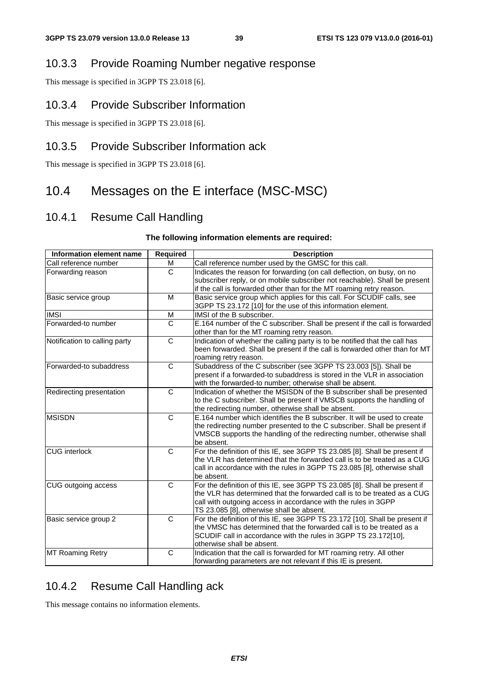#### 10.3.3 Provide Roaming Number negative response

This message is specified in 3GPP TS 23.018 [6].

#### 10.3.4 Provide Subscriber Information

This message is specified in 3GPP TS 23.018 [6].

#### 10.3.5 Provide Subscriber Information ack

This message is specified in 3GPP TS 23.018 [6].

## 10.4 Messages on the E interface (MSC-MSC)

#### 10.4.1 Resume Call Handling

#### **The following information elements are required:**

| Information element name      | <b>Required</b> | <b>Description</b>                                                                                                                                                                                                                                                    |
|-------------------------------|-----------------|-----------------------------------------------------------------------------------------------------------------------------------------------------------------------------------------------------------------------------------------------------------------------|
| Call reference number         | м               | Call reference number used by the GMSC for this call.                                                                                                                                                                                                                 |
| Forwarding reason             | $\overline{C}$  | Indicates the reason for forwarding (on call deflection, on busy, on no<br>subscriber reply, or on mobile subscriber not reachable). Shall be present<br>if the call is forwarded other than for the MT roaming retry reason.                                         |
| Basic service group           | M               | Basic service group which applies for this call. For SCUDIF calls, see<br>3GPP TS 23.172 [10] for the use of this information element.                                                                                                                                |
| <b>IMSI</b>                   | M               | IMSI of the B subscriber.                                                                                                                                                                                                                                             |
| Forwarded-to number           | C               | E.164 number of the C subscriber. Shall be present if the call is forwarded<br>other than for the MT roaming retry reason.                                                                                                                                            |
| Notification to calling party | C               | Indication of whether the calling party is to be notified that the call has<br>been forwarded. Shall be present if the call is forwarded other than for MT<br>roaming retry reason.                                                                                   |
| Forwarded-to subaddress       | C               | Subaddress of the C subscriber (see 3GPP TS 23.003 [5]). Shall be<br>present if a forwarded-to subaddress is stored in the VLR in association<br>with the forwarded-to number; otherwise shall be absent.                                                             |
| Redirecting presentation      | C               | Indication of whether the MSISDN of the B subscriber shall be presented<br>to the C subscriber. Shall be present if VMSCB supports the handling of<br>the redirecting number, otherwise shall be absent.                                                              |
| <b>MSISDN</b>                 | $\mathsf{C}$    | E.164 number which identifies the B subscriber. It will be used to create<br>the redirecting number presented to the C subscriber. Shall be present if<br>VMSCB supports the handling of the redirecting number, otherwise shall<br>be absent.                        |
| <b>CUG</b> interlock          | C               | For the definition of this IE, see 3GPP TS 23.085 [8]. Shall be present if<br>the VLR has determined that the forwarded call is to be treated as a CUG<br>call in accordance with the rules in 3GPP TS 23.085 [8], otherwise shall<br>be absent.                      |
| CUG outgoing access           | C               | For the definition of this IE, see 3GPP TS 23.085 [8]. Shall be present if<br>the VLR has determined that the forwarded call is to be treated as a CUG<br>call with outgoing access in accordance with the rules in 3GPP<br>TS 23.085 [8], otherwise shall be absent. |
| Basic service group 2         | C               | For the definition of this IE, see 3GPP TS 23.172 [10]. Shall be present if<br>the VMSC has determined that the forwarded call is to be treated as a<br>SCUDIF call in accordance with the rules in 3GPP TS 23.172[10],<br>otherwise shall be absent.                 |
| <b>MT Roaming Retry</b>       | C               | Indication that the call is forwarded for MT roaming retry. All other<br>forwarding parameters are not relevant if this IE is present.                                                                                                                                |

## 10.4.2 Resume Call Handling ack

This message contains no information elements.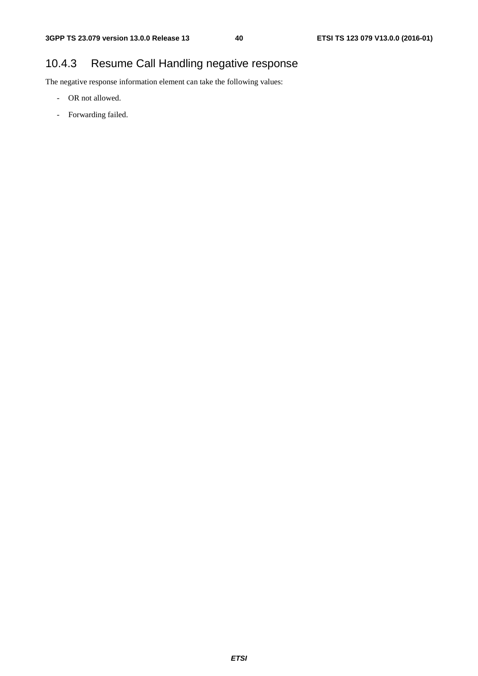## 10.4.3 Resume Call Handling negative response

The negative response information element can take the following values:

- OR not allowed.
- Forwarding failed.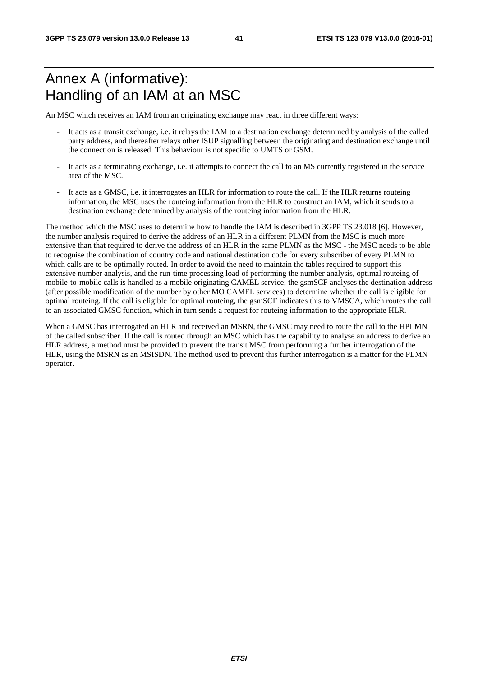## Annex A (informative): Handling of an IAM at an MSC

An MSC which receives an IAM from an originating exchange may react in three different ways:

- It acts as a transit exchange, i.e. it relays the IAM to a destination exchange determined by analysis of the called party address, and thereafter relays other ISUP signalling between the originating and destination exchange until the connection is released. This behaviour is not specific to UMTS or GSM.
- It acts as a terminating exchange, i.e. it attempts to connect the call to an MS currently registered in the service area of the MSC.
- It acts as a GMSC, i.e. it interrogates an HLR for information to route the call. If the HLR returns routeing information, the MSC uses the routeing information from the HLR to construct an IAM, which it sends to a destination exchange determined by analysis of the routeing information from the HLR.

The method which the MSC uses to determine how to handle the IAM is described in 3GPP TS 23.018 [6]. However, the number analysis required to derive the address of an HLR in a different PLMN from the MSC is much more extensive than that required to derive the address of an HLR in the same PLMN as the MSC - the MSC needs to be able to recognise the combination of country code and national destination code for every subscriber of every PLMN to which calls are to be optimally routed. In order to avoid the need to maintain the tables required to support this extensive number analysis, and the run-time processing load of performing the number analysis, optimal routeing of mobile-to-mobile calls is handled as a mobile originating CAMEL service; the gsmSCF analyses the destination address (after possible modification of the number by other MO CAMEL services) to determine whether the call is eligible for optimal routeing. If the call is eligible for optimal routeing, the gsmSCF indicates this to VMSCA, which routes the call to an associated GMSC function, which in turn sends a request for routeing information to the appropriate HLR.

When a GMSC has interrogated an HLR and received an MSRN, the GMSC may need to route the call to the HPLMN of the called subscriber. If the call is routed through an MSC which has the capability to analyse an address to derive an HLR address, a method must be provided to prevent the transit MSC from performing a further interrogation of the HLR, using the MSRN as an MSISDN. The method used to prevent this further interrogation is a matter for the PLMN operator.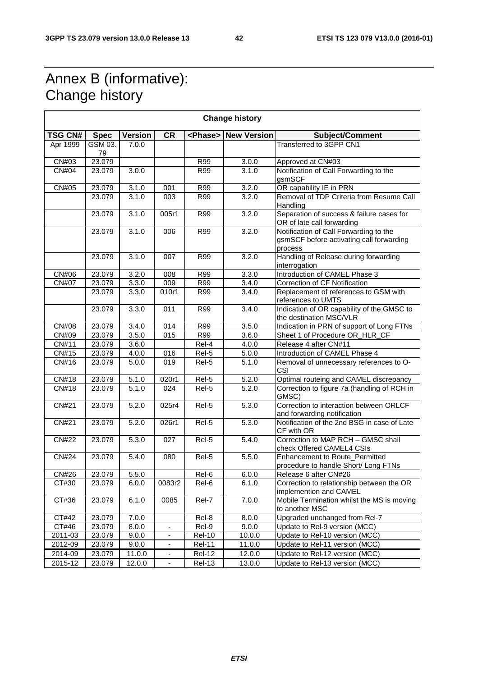$\overline{\phantom{a}}$ 

## Annex B (informative): Change history

 $\blacksquare$ 

| <b>Change history</b> |               |                |                          |               |                             |                                                                                               |  |
|-----------------------|---------------|----------------|--------------------------|---------------|-----------------------------|-----------------------------------------------------------------------------------------------|--|
| <b>TSG CN#</b>        | <b>Spec</b>   | <b>Version</b> | <b>CR</b>                |               | <phase> New Version</phase> | <b>Subject/Comment</b>                                                                        |  |
| Apr 1999              | GSM 03.<br>79 | 7.0.0          |                          |               |                             | Transferred to 3GPP CN1                                                                       |  |
| CN#03                 | 23.079        |                |                          | R99           | 3.0.0                       | Approved at CN#03                                                                             |  |
| CN#04                 | 23.079        | 3.0.0          |                          | <b>R99</b>    | 3.1.0                       | Notification of Call Forwarding to the<br>gsmSCF                                              |  |
| CN#05                 | 23.079        | 3.1.0          | 001                      | <b>R99</b>    | 3.2.0                       | OR capability IE in PRN                                                                       |  |
|                       | 23.079        | 3.1.0          | 003                      | R99           | 3.2.0                       | Removal of TDP Criteria from Resume Call<br>Handling                                          |  |
|                       | 23.079        | 3.1.0          | 005r1                    | R99           | 3.2.0                       | Separation of success & failure cases for<br>OR of late call forwarding                       |  |
|                       | 23.079        | 3.1.0          | 006                      | <b>R99</b>    | 3.2.0                       | Notification of Call Forwarding to the<br>gsmSCF before activating call forwarding<br>process |  |
|                       | 23.079        | 3.1.0          | 007                      | R99           | 3.2.0                       | Handling of Release during forwarding<br>interrogation                                        |  |
| CN#06                 | 23.079        | 3.2.0          | 008                      | R99           | 3.3.0                       | Introduction of CAMEL Phase 3                                                                 |  |
| <b>CN#07</b>          | 23.079        | 3.3.0          | 009                      | R99           | 3.4.0                       | Correction of CF Notification                                                                 |  |
|                       | 23.079        | 3.3.0          | 010r1                    | R99           | 3.4.0                       | Replacement of references to GSM with<br>references to UMTS                                   |  |
|                       | 23.079        | 3.3.0          | 011                      | R99           | 3.4.0                       | Indication of OR capability of the GMSC to<br>the destination MSC/VLR                         |  |
| <b>CN#08</b>          | 23.079        | 3.4.0          | 014                      | R99           | 3.5.0                       | Indication in PRN of support of Long FTNs                                                     |  |
| CN#09                 | 23.079        | 3.5.0          | 015                      | <b>R99</b>    | 3.6.0                       | Sheet 1 of Procedure OR_HLR_CF                                                                |  |
| CN#11                 | 23.079        | 3.6.0          |                          | Rel-4         | 4.0.0                       | Release 4 after CN#11                                                                         |  |
| CN#15                 | 23.079        | 4.0.0          | 016                      | Rel-5         | 5.0.0                       | Introduction of CAMEL Phase 4                                                                 |  |
| CN#16                 | 23.079        | 5.0.0          | 019                      | Rel-5         | 5.1.0                       | Removal of unnecessary references to O-<br><b>CSI</b>                                         |  |
| CN#18                 | 23.079        | 5.1.0          | 020r1                    | Rel-5         | 5.2.0                       | Optimal routeing and CAMEL discrepancy                                                        |  |
| CN#18                 | 23.079        | 5.1.0          | 024                      | Rel-5         | 5.2.0                       | Correction to figure 7a (handling of RCH in<br>GMSC)                                          |  |
| CN#21                 | 23.079        | 5.2.0          | 025r4                    | Rel-5         | 5.3.0                       | Correction to interaction between ORLCF<br>and forwarding notification                        |  |
| CN#21                 | 23.079        | 5.2.0          | 026r1                    | Rel-5         | 5.3.0                       | Notification of the 2nd BSG in case of Late<br>CF with OR                                     |  |
| <b>CN#22</b>          | 23.079        | 5.3.0          | 027                      | Rel-5         | 5.4.0                       | Correction to MAP RCH - GMSC shall<br>check Offered CAMEL4 CSIs                               |  |
| <b>CN#24</b>          | 23.079        | 5.4.0          | 080                      | Rel-5         | 5.5.0                       | Enhancement to Route_Permitted<br>procedure to handle Short/ Long FTNs                        |  |
| CN#26                 | 23.079        | 5.5.0          |                          | Rel-6         | 6.0.0                       | Release 6 after CN#26                                                                         |  |
| CT#30                 | 23.079        | 6.0.0          | 0083r2                   | Rel-6         | 6.1.0                       | Correction to relationship between the OR<br>implemention and CAMEL                           |  |
| CT#36                 | 23.079        | 6.1.0          | 0085                     | Rel-7         | 7.0.0                       | Mobile Termination whilst the MS is moving<br>to another MSC                                  |  |
| CT#42                 | 23.079        | 7.0.0          |                          | Rel-8         | 8.0.0                       | Upgraded unchanged from Rel-7                                                                 |  |
| CT#46                 | 23.079        | 8.0.0          | $\overline{\phantom{a}}$ | Rel-9         | 9.0.0                       | Update to Rel-9 version (MCC)                                                                 |  |
| 2011-03               | 23.079        | 9.0.0          | $\blacksquare$           | <b>Rel-10</b> | 10.0.0                      | Update to Rel-10 version (MCC)                                                                |  |
| 2012-09               | 23.079        | 9.0.0          | ۰                        | <b>Rel-11</b> | 11.0.0                      | Update to Rel-11 version (MCC)                                                                |  |
| 2014-09               | 23.079        | 11.0.0         | ٠                        | <b>Rel-12</b> | 12.0.0                      | Update to Rel-12 version (MCC)                                                                |  |
| 2015-12               | 23.079        | 12.0.0         |                          | <b>Rel-13</b> | 13.0.0                      | Update to Rel-13 version (MCC)                                                                |  |